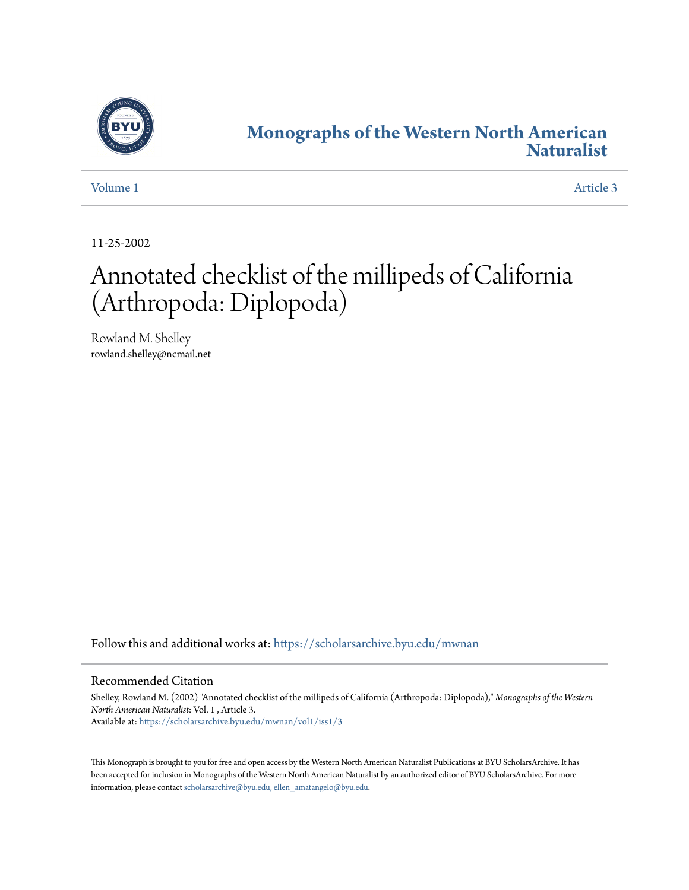

## **[Monographs of the Western North American](https://scholarsarchive.byu.edu/mwnan?utm_source=scholarsarchive.byu.edu%2Fmwnan%2Fvol1%2Fiss1%2F3&utm_medium=PDF&utm_campaign=PDFCoverPages) [Naturalist](https://scholarsarchive.byu.edu/mwnan?utm_source=scholarsarchive.byu.edu%2Fmwnan%2Fvol1%2Fiss1%2F3&utm_medium=PDF&utm_campaign=PDFCoverPages)**

[Volume 1](https://scholarsarchive.byu.edu/mwnan/vol1?utm_source=scholarsarchive.byu.edu%2Fmwnan%2Fvol1%2Fiss1%2F3&utm_medium=PDF&utm_campaign=PDFCoverPages) [Article 3](https://scholarsarchive.byu.edu/mwnan/vol1/iss1/3?utm_source=scholarsarchive.byu.edu%2Fmwnan%2Fvol1%2Fiss1%2F3&utm_medium=PDF&utm_campaign=PDFCoverPages)

11-25-2002

# Annotated checklist of the millipeds of California (Arthropoda: Diplopoda)

Rowland M. Shelley rowland.shelley@ncmail.net

Follow this and additional works at: [https://scholarsarchive.byu.edu/mwnan](https://scholarsarchive.byu.edu/mwnan?utm_source=scholarsarchive.byu.edu%2Fmwnan%2Fvol1%2Fiss1%2F3&utm_medium=PDF&utm_campaign=PDFCoverPages)

## Recommended Citation

Shelley, Rowland M. (2002) "Annotated checklist of the millipeds of California (Arthropoda: Diplopoda)," *Monographs of the Western North American Naturalist*: Vol. 1 , Article 3. Available at: [https://scholarsarchive.byu.edu/mwnan/vol1/iss1/3](https://scholarsarchive.byu.edu/mwnan/vol1/iss1/3?utm_source=scholarsarchive.byu.edu%2Fmwnan%2Fvol1%2Fiss1%2F3&utm_medium=PDF&utm_campaign=PDFCoverPages)

This Monograph is brought to you for free and open access by the Western North American Naturalist Publications at BYU ScholarsArchive. It has been accepted for inclusion in Monographs of the Western North American Naturalist by an authorized editor of BYU ScholarsArchive. For more information, please contact [scholarsarchive@byu.edu, ellen\\_amatangelo@byu.edu](mailto:scholarsarchive@byu.edu,%20ellen_amatangelo@byu.edu).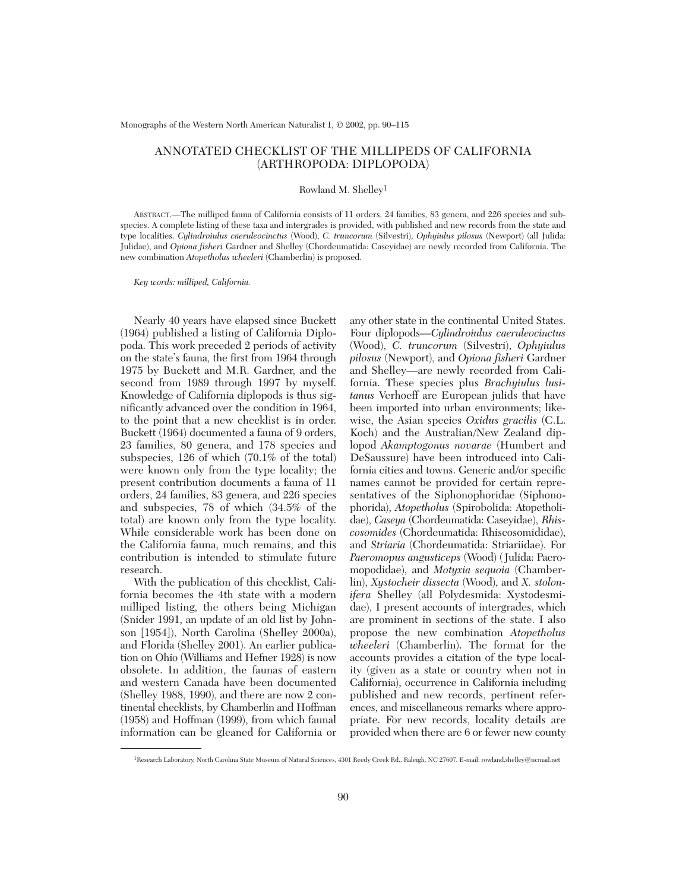## ANNOTATED CHECKLIST OF THE MILLIPEDS OF CALIFORNIA (ARTHROPODA: DIPLOPODA)

#### Rowland M. Shelley1

ABSTRACT.—The milliped fauna of California consists of 11 orders, 24 families, 83 genera, and 226 species and subspecies. A complete listing of these taxa and intergrades is provided, with published and new records from the state and type localities. *Cylindroiulus caeruleocinctus* (Wood), *C. truncorum* (Silvestri), *Ophyiulus pilosus* (Newport) (all Julida: Julidae), and *Opiona fisheri* Gardner and Shelley (Chordeumatida: Caseyidae) are newly recorded from California. The new combination *Atopetholus wheeleri* (Chamberlin) is proposed.

*Key words: milliped, California.*

Nearly 40 years have elapsed since Buckett (1964) published a listing of California Diplopoda. This work preceded 2 periods of activity on the state's fauna, the first from 1964 through 1975 by Buckett and M.R. Gardner, and the second from 1989 through 1997 by myself. Knowledge of California diplopods is thus significantly advanced over the condition in 1964, to the point that a new checklist is in order. Buckett (1964) documented a fauna of 9 orders, 23 families, 80 genera, and 178 species and subspecies, 126 of which (70.1% of the total) were known only from the type locality; the present contribution documents a fauna of 11 orders, 24 families, 83 genera, and 226 species and subspecies, 78 of which (34.5% of the total) are known only from the type locality. While considerable work has been done on the California fauna, much remains, and this contribution is intended to stimulate future research.

With the publication of this checklist, California becomes the 4th state with a modern milliped listing, the others being Michigan (Snider 1991, an update of an old list by Johnson [1954]), North Carolina (Shelley 2000a), and Florida (Shelley 2001). An earlier publication on Ohio (Williams and Hefner 1928) is now obsolete. In addition, the faunas of eastern and western Canada have been documented (Shelley 1988, 1990), and there are now 2 continental checklists, by Chamberlin and Hoffman (1958) and Hoffman (1999), from which faunal information can be gleaned for California or

any other state in the continental United States. Four diplopods—*Cylindroiulus caeruleocinctus* (Wood), *C. truncorum* (Silvestri), *Ophyiulus pilosus* (Newport), and *Opiona fisheri* Gardner and Shelley—are newly recorded from California. These species plus *Brachyiulus lusitanus* Verhoeff are European julids that have been imported into urban environments; likewise, the Asian species *Oxidus gracilis* (C.L. Koch) and the Australian/New Zealand diplopod *Akamptogonus novarae* (Humbert and DeSaussure) have been introduced into California cities and towns. Generic and/or specific names cannot be provided for certain representatives of the Siphonophoridae (Siphonophorida), *Atopetholus* (Spirobolida: Atopetholidae), *Caseya* (Chordeumatida: Caseyidae), *Rhiscosomides* (Chordeumatida: Rhiscosomididae), and *Striaria* (Chordeumatida: Striariidae). For *Paeromopus angusticeps* (Wood) ( Julida: Paeromopodidae), and *Motyxia sequoia* (Chamberlin), *Xystocheir dissecta* (Wood), and *X. stolonifera* Shelley (all Polydesmida: Xystodesmidae), I present accounts of intergrades, which are prominent in sections of the state. I also propose the new combination *Atopetholus wheeleri* (Chamberlin). The format for the accounts provides a citation of the type locality (given as a state or country when not in California), occurrence in California including published and new records, pertinent references, and miscellaneous remarks where appropriate. For new records, locality details are provided when there are 6 or fewer new county

<sup>1</sup>Research Laboratory, North Carolina State Museum of Natural Sciences, 4301 Reedy Creek Rd., Raleigh, NC 27607. E-mail: rowland.shelley@ncmail.net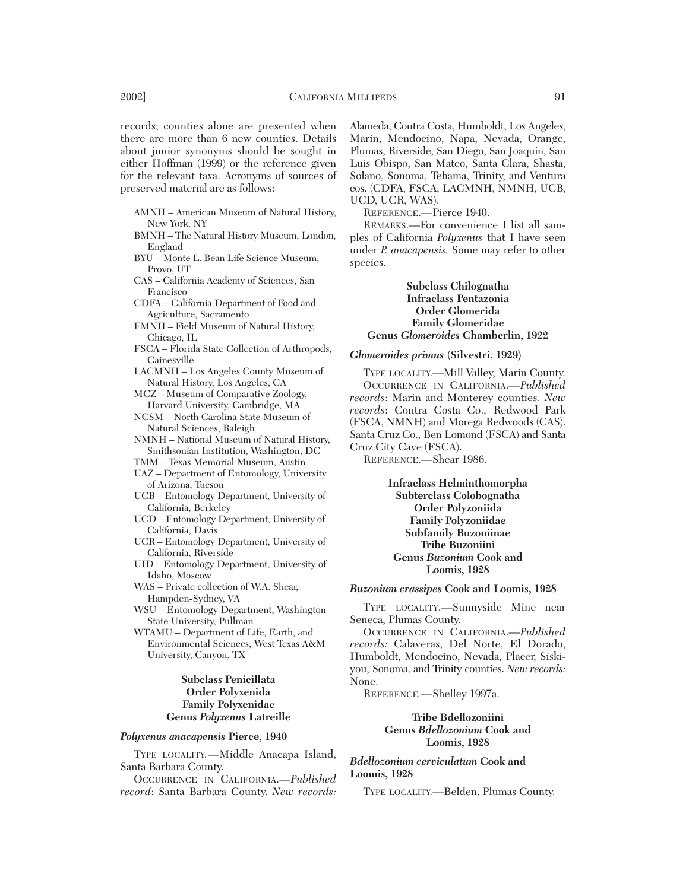records; counties alone are presented when there are more than 6 new counties. Details about junior synonyms should be sought in either Hoffman (1999) or the reference given for the relevant taxa. Acronyms of sources of preserved material are as follows:

- AMNH American Museum of Natural History, New York, NY
- BMNH The Natural History Museum, London, England
- BYU Monte L. Bean Life Science Museum, Provo, UT
- CAS California Academy of Sciences, San Francisco
- CDFA California Department of Food and Agriculture, Sacramento
- FMNH Field Museum of Natural History, Chicago, IL
- FSCA Florida State Collection of Arthropods, Gainesville
- LACMNH Los Angeles County Museum of Natural History, Los Angeles, CA
- MCZ Museum of Comparative Zoology, Harvard University, Cambridge, MA
- NCSM North Carolina State Museum of Natural Sciences, Raleigh
- NMNH National Museum of Natural History, Smithsonian Institution, Washington, DC
- TMM Texas Memorial Museum, Austin
- UAZ Department of Entomology, University of Arizona, Tucson
- UCB Entomology Department, University of California, Berkeley
- UCD Entomology Department, University of California, Davis
- UCR Entomology Department, University of California, Riverside
- UID Entomology Department, University of Idaho, Moscow
- WAS Private collection of W.A. Shear, Hampden-Sydney, VA
- WSU Entomology Department, Washington State University, Pullman
- WTAMU Department of Life, Earth, and Environmental Sciences, West Texas A&M University, Canyon, TX

## **Subclass Penicillata Order Polyxenida Family Polyxenidae Genus** *Polyxenus* **Latreille**

## *Polyxenus anacapensis* **Pierce, 1940**

TYPE LOCALITY*.*—Middle Anacapa Island, Santa Barbara County.

OCCURRENCE IN CALIFORNIA.—*Published record*: Santa Barbara County. *New records:*

Alameda, Contra Costa, Humboldt, Los Angeles, Marin, Mendocino, Napa, Nevada, Orange, Plumas, Riverside, San Diego, San Joaquin, San Luis Obispo, San Mateo, Santa Clara, Shasta, Solano, Sonoma, Tehama, Trinity, and Ventura cos. (CDFA, FSCA, LACMNH, NMNH, UCB, UCD, UCR, WAS).

REFERENCE.—Pierce 1940.

REMARKS.—For convenience I list all samples of California *Polyxenus* that I have seen under *P. anacapensis.* Some may refer to other species.

**Subclass Chilognatha Infraclass Pentazonia Order Glomerida Family Glomeridae Genus** *Glomeroides* **Chamberlin, 1922**

## *Glomeroides primus* **(Silvestri, 1929)**

TYPE LOCALITY.—Mill Valley, Marin County. OCCURRENCE IN CALIFORNIA.—*Published records*: Marin and Monterey counties. *New records*: Contra Costa Co., Redwood Park (FSCA, NMNH) and Morega Redwoods (CAS). Santa Cruz Co., Ben Lomond (FSCA) and Santa Cruz City Cave (FSCA).

REFERENCE.—Shear 1986.

**Infraclass Helminthomorpha Subterclass Colobognatha Order Polyzoniida Family Polyzoniidae Subfamily Buzoniinae Tribe Buzoniini Genus** *Buzonium* **Cook and Loomis, 1928**

#### *Buzonium crassipes* **Cook and Loomis, 1928**

TYPE LOCALITY.—Sunnyside Mine near Seneca, Plumas County.

OCCURRENCE IN CALIFORNIA.*—Published records:* Calaveras, Del Norte, El Dorado, Humboldt, Mendocino, Nevada, Placer, Siskiyou, Sonoma, and Trinity counties. *New records:* None.

REFERENCE*.*—Shelley 1997a.

## **Tribe Bdellozoniini Genus** *Bdellozonium* **Cook and Loomis, 1928**

*Bdellozonium cerviculatum* **Cook and Loomis, 1928**

TYPE LOCALITY.—Belden, Plumas County.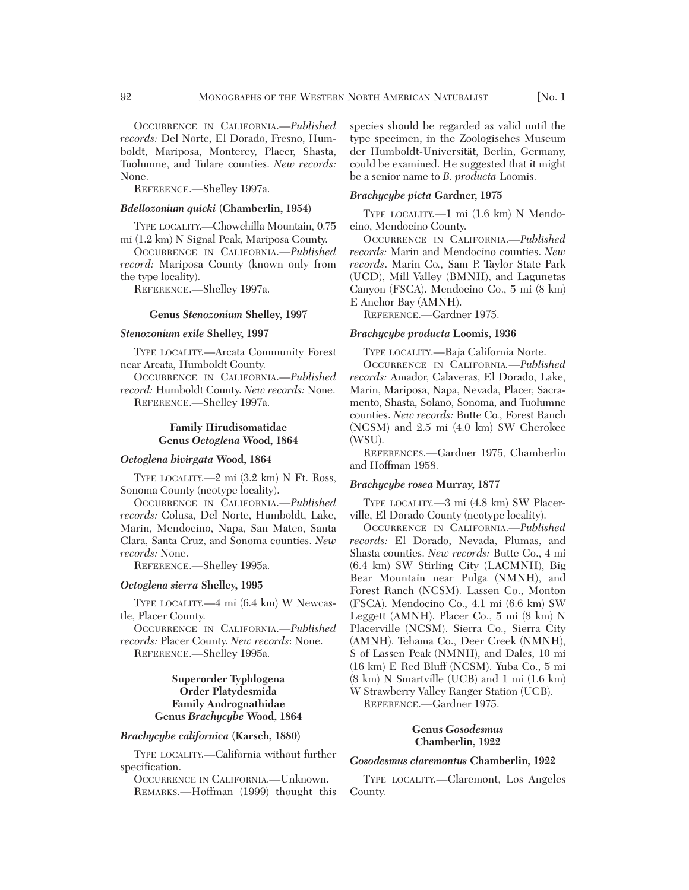OCCURRENCE IN CALIFORNIA.—*Published records:* Del Norte, El Dorado, Fresno, Humboldt, Mariposa, Monterey, Placer, Shasta, Tuolumne, and Tulare counties. *New records:* None.

REFERENCE.—Shelley 1997a.

#### *Bdellozonium quicki* **(Chamberlin, 1954)**

TYPE LOCALITY.—Chowchilla Mountain, 0.75 mi (1.2 km) N Signal Peak, Mariposa County.

OCCURRENCE IN CALIFORNIA.—*Published record:* Mariposa County (known only from the type locality).

REFERENCE.—Shelley 1997a.

## **Genus** *Stenozonium* **Shelley, 1997**

#### *Stenozonium exile* **Shelley, 1997**

TYPE LOCALITY.—Arcata Community Forest near Arcata, Humboldt County.

OCCURRENCE IN CALIFORNIA.—*Published record:* Humboldt County. *New records:* None. REFERENCE.—Shelley 1997a.

## **Family Hirudisomatidae Genus** *Octoglena* **Wood, 1864**

#### *Octoglena bivirgata* **Wood, 1864**

TYPE LOCALITY.—2 mi (3.2 km) N Ft. Ross, Sonoma County (neotype locality).

OCCURRENCE IN CALIFORNIA.—*Published records:* Colusa, Del Norte, Humboldt, Lake, Marin, Mendocino, Napa, San Mateo, Santa Clara, Santa Cruz, and Sonoma counties. *New records:* None.

REFERENCE.—Shelley 1995a.

## *Octoglena sierra* **Shelley, 1995**

TYPE LOCALITY.—4 mi (6.4 km) W Newcastle, Placer County.

OCCURRENCE IN CALIFORNIA.—*Published records:* Placer County. *New records*: None. REFERENCE.—Shelley 1995a.

## **Superorder Typhlogena Order Platydesmida Family Andrognathidae Genus** *Brachycybe* **Wood, 1864**

## *Brachycybe californica* **(Karsch, 1880)**

TYPE LOCALITY.—California without further specification.

OCCURRENCE IN CALIFORNIA.—Unknown. REMARKS.—Hoffman (1999) thought this species should be regarded as valid until the type specimen, in the Zoologisches Museum der Humboldt-Universität, Berlin, Germany, could be examined. He suggested that it might be a senior name to *B. producta* Loomis.

## *Brachycybe picta* **Gardner, 1975**

TYPE LOCALITY.—1 mi (1.6 km) N Mendocino, Mendocino County.

OCCURRENCE IN CALIFORNIA.—*Published records:* Marin and Mendocino counties. *New records*. Marin Co*.,* Sam P. Taylor State Park (UCD), Mill Valley (BMNH), and Lagunetas Canyon (FSCA). Mendocino Co., 5 mi (8 km) E Anchor Bay (AMNH).

REFERENCE.—Gardner 1975.

#### *Brachycybe producta* **Loomis, 1936**

TYPE LOCALITY.—Baja California Norte.

OCCURRENCE IN CALIFORNIA*.—Published records:* Amador, Calaveras, El Dorado, Lake, Marin, Mariposa, Napa, Nevada, Placer, Sacramento, Shasta, Solano, Sonoma, and Tuolumne counties. *New records:* Butte Co*.,* Forest Ranch (NCSM) and 2.5 mi (4.0 km) SW Cherokee (WSU).

REFERENCES.—Gardner 1975, Chamberlin and Hoffman 1958.

## *Brachycybe rosea* **Murray, 1877**

TYPE LOCALITY.—3 mi (4.8 km) SW Placerville, El Dorado County (neotype locality).

OCCURRENCE IN CALIFORNIA.—*Published records:* El Dorado, Nevada, Plumas, and Shasta counties. *New records:* Butte Co., 4 mi (6.4 km) SW Stirling City (LACMNH), Big Bear Mountain near Pulga (NMNH), and Forest Ranch (NCSM). Lassen Co., Monton (FSCA). Mendocino Co., 4.1 mi (6.6 km) SW Leggett (AMNH). Placer Co., 5 mi (8 km) N Placerville (NCSM). Sierra Co., Sierra City (AMNH). Tehama Co., Deer Creek (NMNH), S of Lassen Peak (NMNH), and Dales, 10 mi (16 km) E Red Bluff (NCSM). Yuba Co., 5 mi (8 km) N Smartville (UCB) and 1 mi (1.6 km) W Strawberry Valley Ranger Station (UCB).

REFERENCE.—Gardner 1975.

## **Genus** *Gosodesmus* **Chamberlin, 1922**

## *Gosodesmus claremontus* **Chamberlin, 1922**

TYPE LOCALITY.—Claremont, Los Angeles County.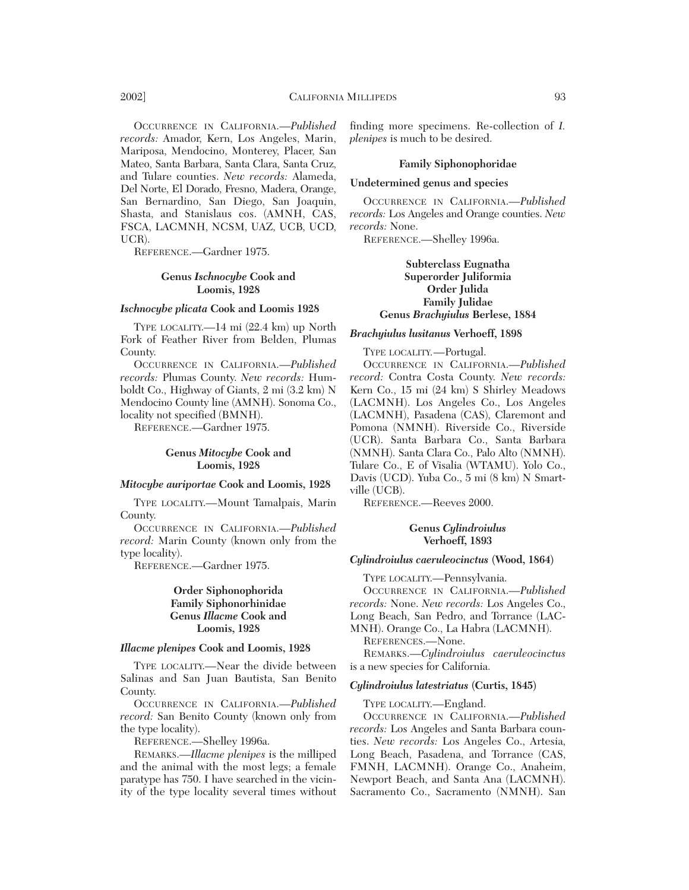OCCURRENCE IN CALIFORNIA.—*Published records:* Amador, Kern, Los Angeles, Marin, Mariposa, Mendocino, Monterey, Placer, San Mateo, Santa Barbara, Santa Clara, Santa Cruz, and Tulare counties. *New records:* Alameda, Del Norte, El Dorado, Fresno, Madera, Orange, San Bernardino, San Diego, San Joaquin, Shasta, and Stanislaus cos. (AMNH, CAS, FSCA, LACMNH, NCSM, UAZ, UCB, UCD, UCR).

REFERENCE.—Gardner 1975.

## **Genus** *Ischnocybe* **Cook and Loomis, 1928**

## *Ischnocybe plicata* **Cook and Loomis 1928**

TYPE LOCALITY.—14 mi (22.4 km) up North Fork of Feather River from Belden, Plumas County.

OCCURRENCE IN CALIFORNIA.—*Published records:* Plumas County. *New records:* Humboldt Co., Highway of Giants, 2 mi (3.2 km) N Mendocino County line (AMNH). Sonoma Co., locality not specified (BMNH).

REFERENCE.—Gardner 1975.

## **Genus** *Mitocybe* **Cook and Loomis, 1928**

## *Mitocybe auriportae* **Cook and Loomis, 1928**

TYPE LOCALITY.—Mount Tamalpais, Marin County.

OCCURRENCE IN CALIFORNIA.—*Published record:* Marin County (known only from the type locality).

REFERENCE.—Gardner 1975.

## **Order Siphonophorida Family Siphonorhinidae Genus** *Illacme* **Cook and Loomis, 1928**

## *Illacme plenipes* **Cook and Loomis, 1928**

TYPE LOCALITY.—Near the divide between Salinas and San Juan Bautista, San Benito County.

OCCURRENCE IN CALIFORNIA.—*Published record:* San Benito County (known only from the type locality).

REFERENCE.—Shelley 1996a.

REMARKS.—*Illacme plenipes* is the milliped and the animal with the most legs; a female paratype has 750. I have searched in the vicinity of the type locality several times without

finding more specimens. Re-collection of *I. plenipes* is much to be desired.

## **Family Siphonophoridae**

## **Undetermined genus and species**

OCCURRENCE IN CALIFORNIA.—*Published records:* Los Angeles and Orange counties. *New records:* None.

REFERENCE.—Shelley 1996a.

## **Subterclass Eugnatha Superorder Juliformia Order Julida Family Julidae Genus** *Brachyiulus* **Berlese, 1884**

## *Brachyiulus lusitanus* **Verhoeff, 1898**

TYPE LOCALITY*.—*Portugal.

OCCURRENCE IN CALIFORNIA.—*Published record:* Contra Costa County. *New records:* Kern Co., 15 mi (24 km) S Shirley Meadows (LACMNH). Los Angeles Co., Los Angeles (LACMNH), Pasadena (CAS), Claremont and Pomona (NMNH). Riverside Co., Riverside (UCR). Santa Barbara Co., Santa Barbara (NMNH). Santa Clara Co., Palo Alto (NMNH). Tulare Co., E of Visalia (WTAMU). Yolo Co., Davis (UCD). Yuba Co., 5 mi (8 km) N Smartville (UCB).

REFERENCE.—Reeves 2000.

## **Genus** *Cylindroiulus* **Verhoeff, 1893**

#### *Cylindroiulus caeruleocinctus* **(Wood, 1864)**

TYPE LOCALITY.—Pennsylvania.

OCCURRENCE IN CALIFORNIA.—*Published records:* None. *New records:* Los Angeles Co., Long Beach, San Pedro, and Torrance (LAC-MNH). Orange Co., La Habra (LACMNH).

REFERENCES.—None.

REMARKS.—*Cylindroiulus caeruleocinctus* is a new species for California.

## *Cylindroiulus latestriatus* **(Curtis, 1845)**

TYPE LOCALITY.—England.

OCCURRENCE IN CALIFORNIA.—*Published records:* Los Angeles and Santa Barbara counties. *New records:* Los Angeles Co., Artesia, Long Beach, Pasadena, and Torrance (CAS, FMNH, LACMNH). Orange Co., Anaheim, Newport Beach, and Santa Ana (LACMNH). Sacramento Co., Sacramento (NMNH). San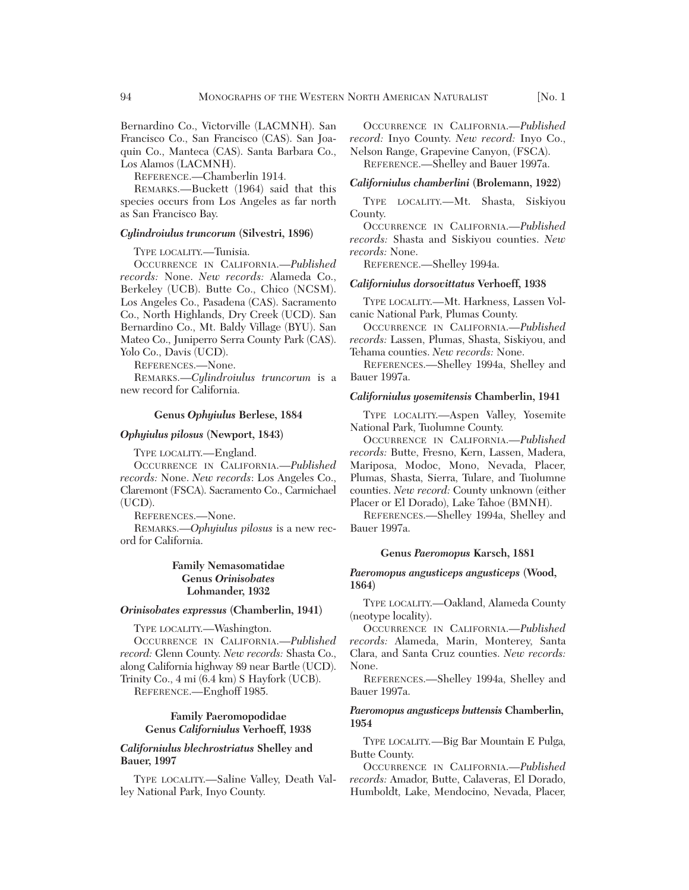Bernardino Co., Victorville (LACMNH). San Francisco Co., San Francisco (CAS). San Joaquin Co., Manteca (CAS). Santa Barbara Co., Los Alamos (LACMNH).

REFERENCE.—Chamberlin 1914.

REMARKS.—Buckett (1964) said that this species occurs from Los Angeles as far north as San Francisco Bay.

## *Cylindroiulus truncorum* **(Silvestri, 1896)**

TYPE LOCALITY.—Tunisia.

OCCURRENCE IN CALIFORNIA.—*Published records:* None. *New records:* Alameda Co., Berkeley (UCB). Butte Co., Chico (NCSM). Los Angeles Co., Pasadena (CAS). Sacramento Co., North Highlands, Dry Creek (UCD). San Bernardino Co., Mt. Baldy Village (BYU). San Mateo Co., Juniperro Serra County Park (CAS). Yolo Co., Davis (UCD).

REFERENCES.—None.

REMARKS.—*Cylindroiulus truncorum* is a new record for California.

## **Genus** *Ophyiulus* **Berlese, 1884**

## *Ophyiulus pilosus* **(Newport, 1843)**

TYPE LOCALITY.—England.

OCCURRENCE IN CALIFORNIA.—*Published records:* None. *New records*: Los Angeles Co., Claremont (FSCA). Sacramento Co., Carmichael (UCD).

REFERENCES.—None.

REMARKS.—*Ophyiulus pilosus* is a new record for California.

## **Family Nemasomatidae Genus** *Orinisobates* **Lohmander, 1932**

## *Orinisobates expressus* **(Chamberlin, 1941)**

TYPE LOCALITY.—Washington.

OCCURRENCE IN CALIFORNIA.—*Published record:* Glenn County. *New records:* Shasta Co., along California highway 89 near Bartle (UCD). Trinity Co., 4 mi (6.4 km) S Hayfork (UCB).

REFERENCE.—Enghoff 1985.

## **Family Paeromopodidae Genus** *Californiulus* **Verhoeff, 1938**

## *Californiulus blechrostriatus* **Shelley and Bauer, 1997**

TYPE LOCALITY.—Saline Valley, Death Valley National Park, Inyo County.

OCCURRENCE IN CALIFORNIA.—*Published record:* Inyo County. *New record:* Inyo Co., Nelson Range, Grapevine Canyon, (FSCA).

REFERENCE.—Shelley and Bauer 1997a.

## *Californiulus chamberlini* **(Brolemann, 1922)**

TYPE LOCALITY.—Mt. Shasta, Siskiyou County.

OCCURRENCE IN CALIFORNIA.—*Published records:* Shasta and Siskiyou counties. *New records:* None.

REFERENCE.—Shelley 1994a.

## *Californiulus dorsovittatus* **Verhoeff, 1938**

TYPE LOCALITY.—Mt. Harkness, Lassen Volcanic National Park, Plumas County.

OCCURRENCE IN CALIFORNIA.—*Published records:* Lassen, Plumas, Shasta, Siskiyou, and Tehama counties. *New records:* None.

REFERENCES.—Shelley 1994a, Shelley and Bauer 1997a.

#### *Californiulus yosemitensis* **Chamberlin, 1941**

TYPE LOCALITY.—Aspen Valley, Yosemite National Park, Tuolumne County.

OCCURRENCE IN CALIFORNIA.—*Published records:* Butte, Fresno, Kern, Lassen, Madera, Mariposa, Modoc, Mono, Nevada, Placer, Plumas, Shasta, Sierra, Tulare, and Tuolumne counties. *New record:* County unknown (either Placer or El Dorado), Lake Tahoe (BMNH).

REFERENCES.—Shelley 1994a, Shelley and Bauer 1997a.

#### **Genus** *Paeromopus* **Karsch, 1881**

## *Paeromopus angusticeps angusticeps* **(Wood, 1864)**

TYPE LOCALITY.—Oakland, Alameda County (neotype locality).

OCCURRENCE IN CALIFORNIA.—*Published records:* Alameda, Marin, Monterey, Santa Clara, and Santa Cruz counties. *New records:* None.

REFERENCES.—Shelley 1994a, Shelley and Bauer 1997a.

## *Paeromopus angusticeps buttensis* **Chamberlin, 1954**

TYPE LOCALITY*.—*Big Bar Mountain E Pulga, Butte County.

OCCURRENCE IN CALIFORNIA.—*Published records:* Amador, Butte, Calaveras, El Dorado, Humboldt, Lake, Mendocino, Nevada, Placer,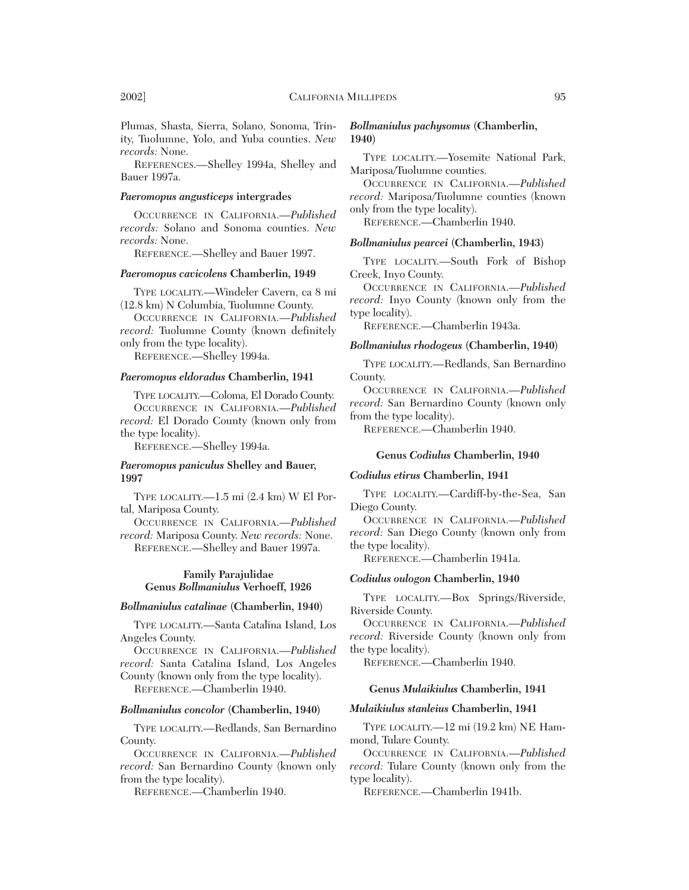Plumas, Shasta, Sierra, Solano, Sonoma, Trinity, Tuolumne, Yolo, and Yuba counties. *New records:* None.

REFERENCES.—Shelley 1994a, Shelley and Bauer 1997a.

## *Paeromopus angusticeps* **intergrades**

OCCURRENCE IN CALIFORNIA.—*Published records:* Solano and Sonoma counties. *New records:* None.

REFERENCE.—Shelley and Bauer 1997.

## *Paeromopus cavicolens* **Chamberlin, 1949**

TYPE LOCALITY.—Windeler Cavern, ca 8 mi (12.8 km) N Columbia, Tuolumne County.

OCCURRENCE IN CALIFORNIA.—*Published record:* Tuolumne County (known definitely only from the type locality).

REFERENCE.—Shelley 1994a.

## *Paeromopus eldoradus* **Chamberlin, 1941**

TYPE LOCALITY.—Coloma, El Dorado County. OCCURRENCE IN CALIFORNIA.—*Published record:* El Dorado County (known only from the type locality).

REFERENCE.—Shelley 1994a.

## *Paeromopus paniculus* **Shelley and Bauer, 1997**

TYPE LOCALITY.—1.5 mi (2.4 km) W El Portal, Mariposa County.

```
OCCURRENCE IN CALIFORNIA.—Published
record: Mariposa County. New records: None.
  REFERENCE.—Shelley and Bauer 1997a.
```
## **Family Parajulidae Genus** *Bollmaniulus* **Verhoeff, 1926**

## *Bollmaniulus catalinae* **(Chamberlin, 1940)**

TYPE LOCALITY.—Santa Catalina Island, Los Angeles County.

OCCURRENCE IN CALIFORNIA.—*Published record:* Santa Catalina Island, Los Angeles County (known only from the type locality).

REFERENCE.—Chamberlin 1940.

## *Bollmaniulus concolor* **(Chamberlin, 1940)**

TYPE LOCALITY.—Redlands, San Bernardino County.

OCCURRENCE IN CALIFORNIA.—*Published record:* San Bernardino County (known only from the type locality).

REFERENCE.—Chamberlin 1940.

## *Bollmaniulus pachysomus* **(Chamberlin, 1940)**

TYPE LOCALITY.—Yosemite National Park, Mariposa/Tuolumne counties.

OCCURRENCE IN CALIFORNIA.—*Published record:* Mariposa/Tuolumne counties (known only from the type locality).

REFERENCE.—Chamberlin 1940.

## *Bollmaniulus pearcei* **(Chamberlin, 1943)**

TYPE LOCALITY.—South Fork of Bishop Creek, Inyo County.

OCCURRENCE IN CALIFORNIA.—*Published record:* Inyo County (known only from the type locality).

REFERENCE.—Chamberlin 1943a.

## *Bollmaniulus rhodogeus* **(Chamberlin, 1940)**

TYPE LOCALITY.—Redlands, San Bernardino County.

OCCURRENCE IN CALIFORNIA.—*Published record:* San Bernardino County (known only from the type locality).

REFERENCE.—Chamberlin 1940.

#### **Genus** *Codiulus* **Chamberlin, 1940**

## *Codiulus etirus* **Chamberlin, 1941**

TYPE LOCALITY.—Cardiff-by-the-Sea, San Diego County.

OCCURRENCE IN CALIFORNIA.—*Published record:* San Diego County (known only from the type locality).

REFERENCE.—Chamberlin 1941a.

## *Codiulus oulogon* **Chamberlin, 1940**

TYPE LOCALITY.—Box Springs/Riverside, Riverside County.

OCCURRENCE IN CALIFORNIA.—*Published record:* Riverside County (known only from the type locality).

REFERENCE.—Chamberlin 1940.

## **Genus** *Mulaikiulus* **Chamberlin, 1941**

#### *Mulaikiulus stanleius* **Chamberlin, 1941**

TYPE LOCALITY.—12 mi (19.2 km) NE Hammond, Tulare County.

OCCURRENCE IN CALIFORNIA.—*Published record:* Tulare County (known only from the type locality).

REFERENCE.—Chamberlin 1941b.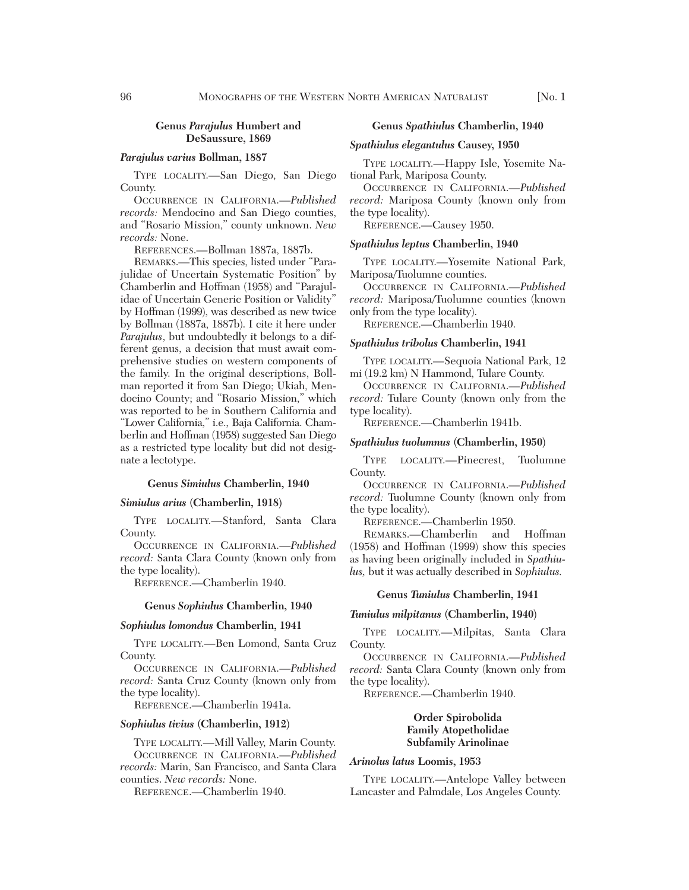## **Genus** *Parajulus* **Humbert and DeSaussure, 1869**

## *Parajulus varius* **Bollman, 1887**

TYPE LOCALITY.—San Diego, San Diego County.

OCCURRENCE IN CALIFORNIA.—*Published records:* Mendocino and San Diego counties, and "Rosario Mission," county unknown. *New records:* None.

REFERENCES.—Bollman 1887a, 1887b.

REMARKS.—This species, listed under "Parajulidae of Uncertain Systematic Position" by Chamberlin and Hoffman (1958) and "Parajulidae of Uncertain Generic Position or Validity" by Hoffman (1999), was described as new twice by Bollman (1887a, 1887b). I cite it here under *Parajulus*, but undoubtedly it belongs to a different genus, a decision that must await comprehensive studies on western components of the family. In the original descriptions, Bollman reported it from San Diego; Ukiah, Mendocino County; and "Rosario Mission," which was reported to be in Southern California and "Lower California," i.e., Baja California. Chamberlin and Hoffman (1958) suggested San Diego as a restricted type locality but did not designate a lectotype.

## **Genus** *Simiulus* **Chamberlin, 1940**

## *Simiulus arius* **(Chamberlin, 1918)**

TYPE LOCALITY.—Stanford, Santa Clara County.

OCCURRENCE IN CALIFORNIA.—*Published record:* Santa Clara County (known only from the type locality).

REFERENCE.—Chamberlin 1940.

## **Genus** *Sophiulus* **Chamberlin, 1940**

#### *Sophiulus lomondus* **Chamberlin, 1941**

TYPE LOCALITY.—Ben Lomond, Santa Cruz County.

OCCURRENCE IN CALIFORNIA.—*Published record:* Santa Cruz County (known only from the type locality).

REFERENCE.—Chamberlin 1941a.

## *Sophiulus tivius* **(Chamberlin, 1912)**

TYPE LOCALITY.—Mill Valley, Marin County. OCCURRENCE IN CALIFORNIA.—*Published*

*records:* Marin, San Francisco, and Santa Clara counties. *New records:* None.

REFERENCE.—Chamberlin 1940.

#### **Genus** *Spathiulus* **Chamberlin, 1940**

## *Spathiulus elegantulus* **Causey, 1950**

TYPE LOCALITY.—Happy Isle, Yosemite National Park, Mariposa County.

OCCURRENCE IN CALIFORNIA.—*Published record:* Mariposa County (known only from the type locality).

REFERENCE.—Causey 1950.

#### *Spathiulus leptus* **Chamberlin, 1940**

TYPE LOCALITY.—Yosemite National Park, Mariposa/Tuolumne counties.

OCCURRENCE IN CALIFORNIA.—*Published record:* Mariposa/Tuolumne counties (known only from the type locality).

REFERENCE.—Chamberlin 1940.

## *Spathiulus tribolus* **Chamberlin, 1941**

TYPE LOCALITY.—Sequoia National Park, 12 mi (19.2 km) N Hammond, Tulare County.

OCCURRENCE IN CALIFORNIA.—*Published record:* Tulare County (known only from the type locality).

REFERENCE.—Chamberlin 1941b.

#### *Spathiulus tuolumnus* **(Chamberlin, 1950)**

TYPE LOCALITY.—Pinecrest, Tuolumne County.

OCCURRENCE IN CALIFORNIA.—*Published record:* Tuolumne County (known only from the type locality).

REFERENCE.—Chamberlin 1950.

REMARKS.—Chamberlin and Hoffman (1958) and Hoffman (1999) show this species as having been originally included in *Spathiulus,* but it was actually described in *Sophiulus.*

#### **Genus** *Tuniulus* **Chamberlin, 1941**

## *Tuniulus milpitanus* **(Chamberlin, 1940)**

TYPE LOCALITY.—Milpitas, Santa Clara County.

OCCURRENCE IN CALIFORNIA.—*Published record:* Santa Clara County (known only from the type locality).

REFERENCE.—Chamberlin 1940.

## **Order Spirobolida Family Atopetholidae Subfamily Arinolinae**

#### *Arinolus latus* **Loomis, 1953**

TYPE LOCALITY.—Antelope Valley between Lancaster and Palmdale, Los Angeles County.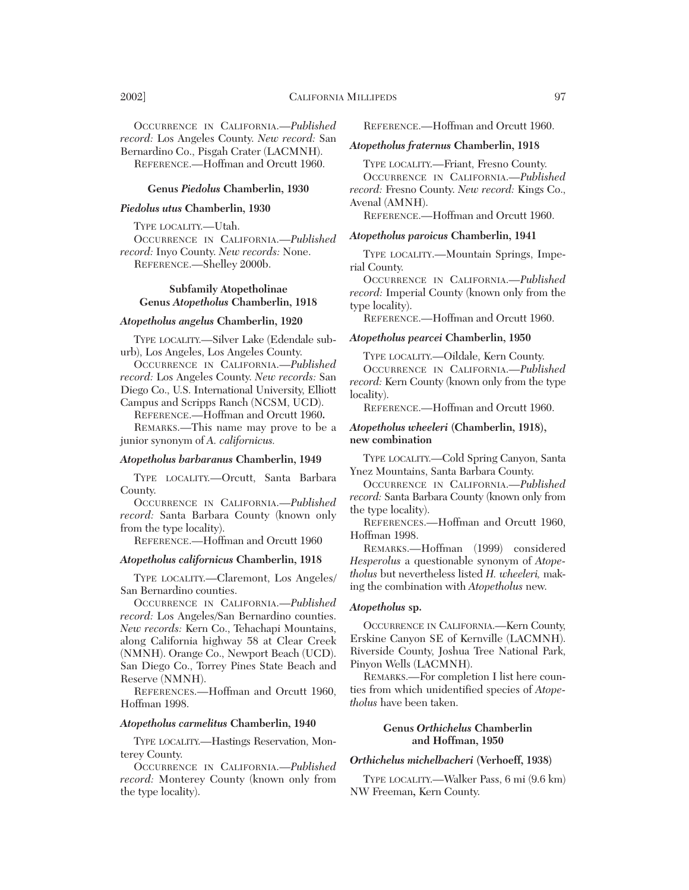OCCURRENCE IN CALIFORNIA.—*Published record:* Los Angeles County. *New record:* San Bernardino Co., Pisgah Crater (LACMNH).

REFERENCE.—Hoffman and Orcutt 1960.

## **Genus** *Piedolus* **Chamberlin, 1930**

## *Piedolus utus* **Chamberlin, 1930**

TYPE LOCALITY.—Utah. OCCURRENCE IN CALIFORNIA.—*Published record:* Inyo County. *New records:* None. REFERENCE.—Shelley 2000b.

## **Subfamily Atopetholinae Genus** *Atopetholus* **Chamberlin, 1918**

## *Atopetholus angelus* **Chamberlin, 1920**

TYPE LOCALITY.—Silver Lake (Edendale suburb), Los Angeles, Los Angeles County.

OCCURRENCE IN CALIFORNIA.—*Published record:* Los Angeles County. *New records:* San Diego Co., U.S. International University, Elliott Campus and Scripps Ranch (NCSM, UCD).

REFERENCE.—Hoffman and Orcutt 1960**.**

REMARKS.—This name may prove to be a junior synonym of *A. californicus.*

## *Atopetholus barbaranus* **Chamberlin, 1949**

TYPE LOCALITY.—Orcutt, Santa Barbara County.

OCCURRENCE IN CALIFORNIA.—*Published record:* Santa Barbara County (known only from the type locality).

REFERENCE.—Hoffman and Orcutt 1960

## *Atopetholus californicus* **Chamberlin, 1918**

TYPE LOCALITY.—Claremont, Los Angeles/ San Bernardino counties.

OCCURRENCE IN CALIFORNIA.—*Published record:* Los Angeles/San Bernardino counties. *New records:* Kern Co., Tehachapi Mountains, along California highway 58 at Clear Creek (NMNH). Orange Co., Newport Beach (UCD). San Diego Co., Torrey Pines State Beach and Reserve (NMNH).

REFERENCES.—Hoffman and Orcutt 1960, Hoffman 1998.

## *Atopetholus carmelitus* **Chamberlin, 1940**

TYPE LOCALITY.—Hastings Reservation, Monterey County.

OCCURRENCE IN CALIFORNIA.—*Published record:* Monterey County (known only from the type locality).

REFERENCE.—Hoffman and Orcutt 1960.

## *Atopetholus fraternus* **Chamberlin, 1918**

TYPE LOCALITY.—Friant, Fresno County. OCCURRENCE IN CALIFORNIA.—*Published record:* Fresno County. *New record:* Kings Co., Avenal (AMNH).

REFERENCE.—Hoffman and Orcutt 1960.

## *Atopetholus paroicus* **Chamberlin, 1941**

TYPE LOCALITY.—Mountain Springs, Imperial County.

OCCURRENCE IN CALIFORNIA.—*Published record:* Imperial County (known only from the type locality).

REFERENCE.—Hoffman and Orcutt 1960.

#### *Atopetholus pearcei* **Chamberlin, 1950**

TYPE LOCALITY.—Oildale, Kern County.

OCCURRENCE IN CALIFORNIA.—*Published record:* Kern County (known only from the type locality).

REFERENCE.—Hoffman and Orcutt 1960.

## *Atopetholus wheeleri* **(Chamberlin, 1918), new combination**

TYPE LOCALITY.—Cold Spring Canyon, Santa Ynez Mountains, Santa Barbara County.

OCCURRENCE IN CALIFORNIA.—*Published record:* Santa Barbara County (known only from the type locality).

REFERENCES.—Hoffman and Orcutt 1960, Hoffman 1998.

REMARKS.—Hoffman (1999) considered *Hesperolus* a questionable synonym of *Atopetholus* but nevertheless listed *H. wheeleri,* making the combination with *Atopetholus* new.

#### *Atopetholus* **sp.**

OCCURRENCE IN CALIFORNIA.—Kern County, Erskine Canyon SE of Kernville (LACMNH). Riverside County, Joshua Tree National Park, Pinyon Wells (LACMNH).

REMARKS.—For completion I list here counties from which unidentified species of *Atopetholus* have been taken.

## **Genus** *Orthichelus* **Chamberlin and Hoffman, 1950**

## *Orthichelus michelbacheri* **(Verhoeff, 1938)**

TYPE LOCALITY.—Walker Pass, 6 mi (9.6 km) NW Freeman**,** Kern County.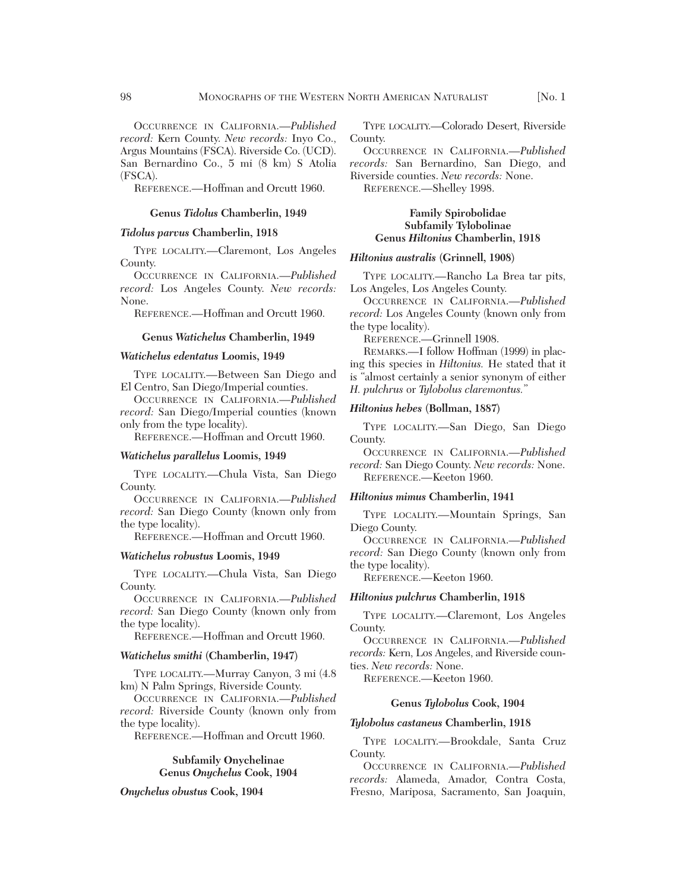OCCURRENCE IN CALIFORNIA.—*Published record:* Kern County. *New records:* Inyo Co., Argus Mountains (FSCA). Riverside Co. (UCD). San Bernardino Co., 5 mi (8 km) S Atolia (FSCA).

REFERENCE.—Hoffman and Orcutt 1960.

## **Genus** *Tidolus* **Chamberlin, 1949**

#### *Tidolus parvus* **Chamberlin, 1918**

TYPE LOCALITY.—Claremont, Los Angeles County.

OCCURRENCE IN CALIFORNIA.—*Published record:* Los Angeles County. *New records:* None.

REFERENCE.—Hoffman and Orcutt 1960.

#### **Genus** *Watichelus* **Chamberlin, 1949**

#### *Watichelus edentatus* **Loomis, 1949**

TYPE LOCALITY.—Between San Diego and El Centro, San Diego/Imperial counties.

OCCURRENCE IN CALIFORNIA.—*Published record:* San Diego/Imperial counties (known only from the type locality).

REFERENCE.—Hoffman and Orcutt 1960.

#### *Watichelus parallelus* **Loomis, 1949**

TYPE LOCALITY.—Chula Vista, San Diego County.

OCCURRENCE IN CALIFORNIA.—*Published record:* San Diego County (known only from the type locality).

REFERENCE.—Hoffman and Orcutt 1960.

## *Watichelus robustus* **Loomis, 1949**

TYPE LOCALITY.—Chula Vista, San Diego County.

OCCURRENCE IN CALIFORNIA.—*Published record:* San Diego County (known only from the type locality).

REFERENCE.—Hoffman and Orcutt 1960.

## *Watichelus smithi* **(Chamberlin, 1947)**

TYPE LOCALITY.—Murray Canyon, 3 mi (4.8 km) N Palm Springs, Riverside County.

OCCURRENCE IN CALIFORNIA.—*Published record:* Riverside County (known only from the type locality).

REFERENCE.—Hoffman and Orcutt 1960.

**Subfamily Onychelinae Genus** *Onychelus* **Cook, 1904**

*Onychelus obustus* **Cook, 1904**

TYPE LOCALITY.—Colorado Desert, Riverside County.

OCCURRENCE IN CALIFORNIA.—*Published records:* San Bernardino, San Diego, and Riverside counties. *New records:* None.

REFERENCE.—Shelley 1998.

## **Family Spirobolidae Subfamily Tylobolinae Genus** *Hiltonius* **Chamberlin, 1918**

## *Hiltonius australis* **(Grinnell, 1908)**

TYPE LOCALITY.—Rancho La Brea tar pits, Los Angeles, Los Angeles County.

OCCURRENCE IN CALIFORNIA.—*Published record:* Los Angeles County (known only from the type locality).

REFERENCE.—Grinnell 1908.

REMARKS.—I follow Hoffman (1999) in placing this species in *Hiltonius.* He stated that it is "almost certainly a senior synonym of either *H. pulchrus* or *Tylobolus claremontus.*"

#### *Hiltonius hebes* **(Bollman, 1887)**

TYPE LOCALITY.—San Diego, San Diego County.

OCCURRENCE IN CALIFORNIA.—*Published record:* San Diego County. *New records:* None. REFERENCE.—Keeton 1960.

#### *Hiltonius mimus* **Chamberlin, 1941**

TYPE LOCALITY.—Mountain Springs, San Diego County.

OCCURRENCE IN CALIFORNIA.—*Published record:* San Diego County (known only from the type locality).

REFERENCE.—Keeton 1960.

#### *Hiltonius pulchrus* **Chamberlin, 1918**

TYPE LOCALITY.—Claremont, Los Angeles County.

OCCURRENCE IN CALIFORNIA.—*Published records:* Kern, Los Angeles, and Riverside counties. *New records:* None.

REFERENCE.—Keeton 1960.

## **Genus** *Tylobolus* **Cook, 1904**

## *Tylobolus castaneus* **Chamberlin, 1918**

TYPE LOCALITY.—Brookdale, Santa Cruz County.

OCCURRENCE IN CALIFORNIA.—*Published records:* Alameda, Amador, Contra Costa, Fresno, Mariposa, Sacramento, San Joaquin,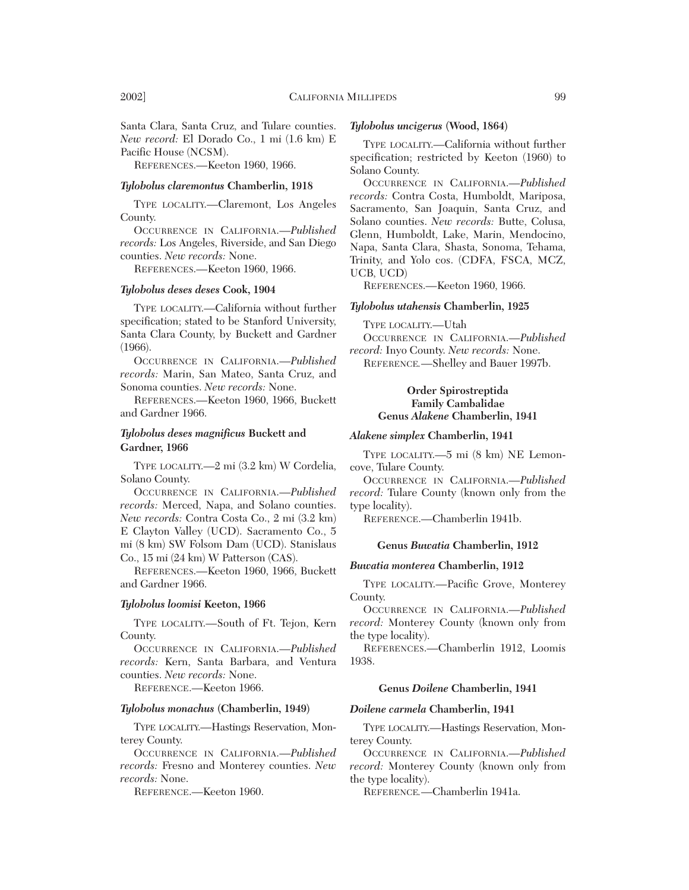Santa Clara, Santa Cruz, and Tulare counties. *New record:* El Dorado Co., 1 mi (1.6 km) E Pacific House (NCSM).

REFERENCES.—Keeton 1960, 1966.

## *Tylobolus claremontus* **Chamberlin, 1918**

TYPE LOCALITY.—Claremont, Los Angeles County.

OCCURRENCE IN CALIFORNIA.—*Published records:* Los Angeles, Riverside, and San Diego counties. *New records:* None.

REFERENCES.—Keeton 1960, 1966.

## *Tylobolus deses deses* **Cook, 1904**

TYPE LOCALITY.—California without further specification; stated to be Stanford University, Santa Clara County, by Buckett and Gardner (1966).

OCCURRENCE IN CALIFORNIA.—*Published records:* Marin, San Mateo, Santa Cruz, and Sonoma counties. *New records:* None.

REFERENCES.—Keeton 1960, 1966, Buckett and Gardner 1966.

## *Tylobolus deses magnificus* **Buckett and Gardner, 1966**

TYPE LOCALITY.—2 mi (3.2 km) W Cordelia, Solano County.

OCCURRENCE IN CALIFORNIA.—*Published records:* Merced, Napa, and Solano counties. *New records:* Contra Costa Co., 2 mi (3.2 km) E Clayton Valley (UCD). Sacramento Co., 5 mi (8 km) SW Folsom Dam (UCD). Stanislaus Co., 15 mi (24 km) W Patterson (CAS).

REFERENCES.—Keeton 1960, 1966, Buckett and Gardner 1966.

## *Tylobolus loomisi* **Keeton, 1966**

TYPE LOCALITY.—South of Ft. Tejon, Kern County.

OCCURRENCE IN CALIFORNIA.—*Published records:* Kern, Santa Barbara, and Ventura counties. *New records:* None.

REFERENCE.—Keeton 1966.

#### *Tylobolus monachus* **(Chamberlin, 1949)**

TYPE LOCALITY.—Hastings Reservation, Monterey County.

OCCURRENCE IN CALIFORNIA.—*Published records:* Fresno and Monterey counties. *New records:* None.

REFERENCE.—Keeton 1960.

#### *Tylobolus uncigerus* **(Wood, 1864)**

TYPE LOCALITY.—California without further specification; restricted by Keeton (1960) to Solano County.

OCCURRENCE IN CALIFORNIA.—*Published records:* Contra Costa, Humboldt, Mariposa, Sacramento, San Joaquin, Santa Cruz, and Solano counties. *New records:* Butte, Colusa, Glenn, Humboldt, Lake, Marin, Mendocino, Napa, Santa Clara, Shasta, Sonoma, Tehama, Trinity, and Yolo cos. (CDFA, FSCA, MCZ, UCB, UCD)

REFERENCES.—Keeton 1960, 1966.

## *Tylobolus utahensis* **Chamberlin, 1925**

TYPE LOCALITY.—Utah

OCCURRENCE IN CALIFORNIA.—*Published record:* Inyo County. *New records:* None.

REFERENCE*.—*Shelley and Bauer 1997b.

## **Order Spirostreptida Family Cambalidae Genus** *Alakene* **Chamberlin, 1941**

## *Alakene simplex* **Chamberlin, 1941**

TYPE LOCALITY.—5 mi (8 km) NE Lemoncove, Tulare County.

OCCURRENCE IN CALIFORNIA.—*Published record:* Tulare County (known only from the type locality).

REFERENCE.—Chamberlin 1941b.

## **Genus** *Buwatia* **Chamberlin, 1912**

#### *Buwatia monterea* **Chamberlin, 1912**

TYPE LOCALITY.—Pacific Grove, Monterey County.

OCCURRENCE IN CALIFORNIA.—*Published record:* Monterey County (known only from the type locality).

REFERENCES.—Chamberlin 1912, Loomis 1938.

#### **Genus** *Doilene* **Chamberlin, 1941**

#### *Doilene carmela* **Chamberlin, 1941**

TYPE LOCALITY.—Hastings Reservation, Monterey County.

OCCURRENCE IN CALIFORNIA.—*Published record:* Monterey County (known only from the type locality).

REFERENCE*.—*Chamberlin 1941a.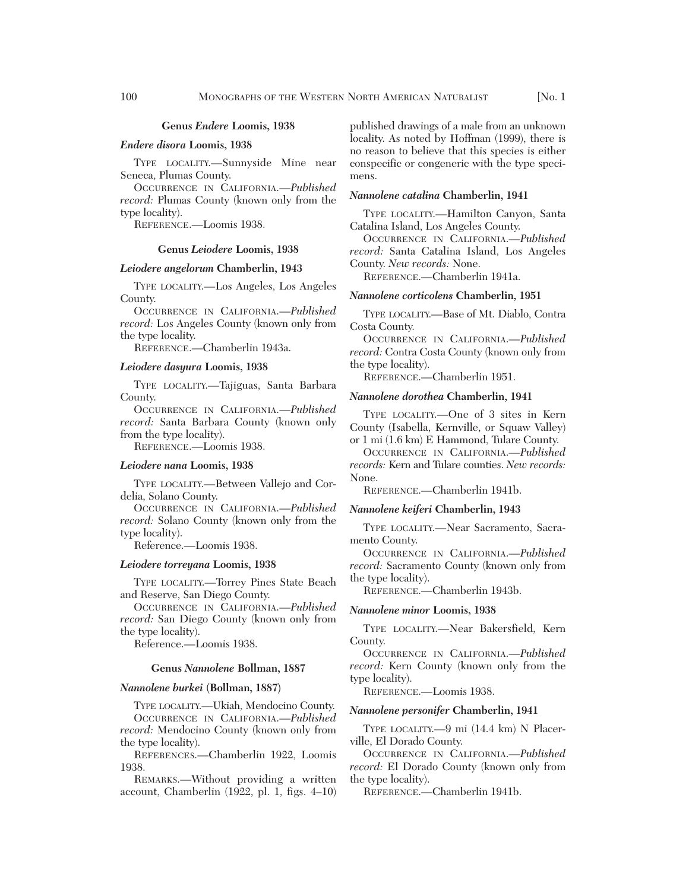#### **Genus** *Endere* **Loomis, 1938**

## *Endere disora* **Loomis, 1938**

TYPE LOCALITY.—Sunnyside Mine near Seneca, Plumas County.

OCCURRENCE IN CALIFORNIA.—*Published record:* Plumas County (known only from the type locality).

REFERENCE.—Loomis 1938.

## **Genus** *Leiodere* **Loomis, 1938**

#### *Leiodere angelorum* **Chamberlin, 1943**

TYPE LOCALITY.—Los Angeles, Los Angeles County.

OCCURRENCE IN CALIFORNIA.—*Published record:* Los Angeles County (known only from the type locality.

REFERENCE.—Chamberlin 1943a.

#### *Leiodere dasyura* **Loomis, 1938**

TYPE LOCALITY.—Tajiguas, Santa Barbara County.

OCCURRENCE IN CALIFORNIA.—*Published record:* Santa Barbara County (known only from the type locality).

REFERENCE.—Loomis 1938.

## *Leiodere nana* **Loomis, 1938**

TYPE LOCALITY.—Between Vallejo and Cordelia, Solano County.

OCCURRENCE IN CALIFORNIA.—*Published record:* Solano County (known only from the type locality).

Reference.—Loomis 1938.

#### *Leiodere torreyana* **Loomis, 1938**

TYPE LOCALITY.—Torrey Pines State Beach and Reserve, San Diego County.

OCCURRENCE IN CALIFORNIA.—*Published record:* San Diego County (known only from the type locality).

Reference.—Loomis 1938.

## **Genus** *Nannolene* **Bollman, 1887**

#### *Nannolene burkei* **(Bollman, 1887)**

TYPE LOCALITY.—Ukiah, Mendocino County. OCCURRENCE IN CALIFORNIA.—*Published record:* Mendocino County (known only from the type locality).

REFERENCES.—Chamberlin 1922, Loomis 1938.

REMARKS.—Without providing a written account, Chamberlin (1922, pl. 1, figs. 4–10)

published drawings of a male from an unknown locality. As noted by Hoffman (1999), there is no reason to believe that this species is either conspecific or congeneric with the type specimens.

#### *Nannolene catalina* **Chamberlin, 1941**

TYPE LOCALITY.—Hamilton Canyon, Santa Catalina Island, Los Angeles County.

OCCURRENCE IN CALIFORNIA.—*Published record:* Santa Catalina Island, Los Angeles County. *New records:* None.

REFERENCE.—Chamberlin 1941a.

## *Nannolene corticolens* **Chamberlin, 1951**

TYPE LOCALITY.—Base of Mt. Diablo, Contra Costa County.

OCCURRENCE IN CALIFORNIA.—*Published record:* Contra Costa County (known only from the type locality).

REFERENCE.—Chamberlin 1951.

## *Nannolene dorothea* **Chamberlin, 1941**

TYPE LOCALITY.—One of 3 sites in Kern County (Isabella, Kernville, or Squaw Valley) or 1 mi (1.6 km) E Hammond, Tulare County.

OCCURRENCE IN CALIFORNIA.—*Published records:* Kern and Tulare counties. *New records:* None.

REFERENCE.—Chamberlin 1941b.

## *Nannolene keiferi* **Chamberlin, 1943**

TYPE LOCALITY.—Near Sacramento, Sacramento County.

OCCURRENCE IN CALIFORNIA.—*Published record:* Sacramento County (known only from the type locality).

REFERENCE.—Chamberlin 1943b.

## *Nannolene minor* **Loomis, 1938**

TYPE LOCALITY.—Near Bakersfield, Kern County.

OCCURRENCE IN CALIFORNIA.—*Published record:* Kern County (known only from the type locality).

REFERENCE.—Loomis 1938.

## *Nannolene personifer* **Chamberlin, 1941**

TYPE LOCALITY.—9 mi (14.4 km) N Placerville, El Dorado County.

OCCURRENCE IN CALIFORNIA.—*Published record:* El Dorado County (known only from the type locality).

REFERENCE.—Chamberlin 1941b.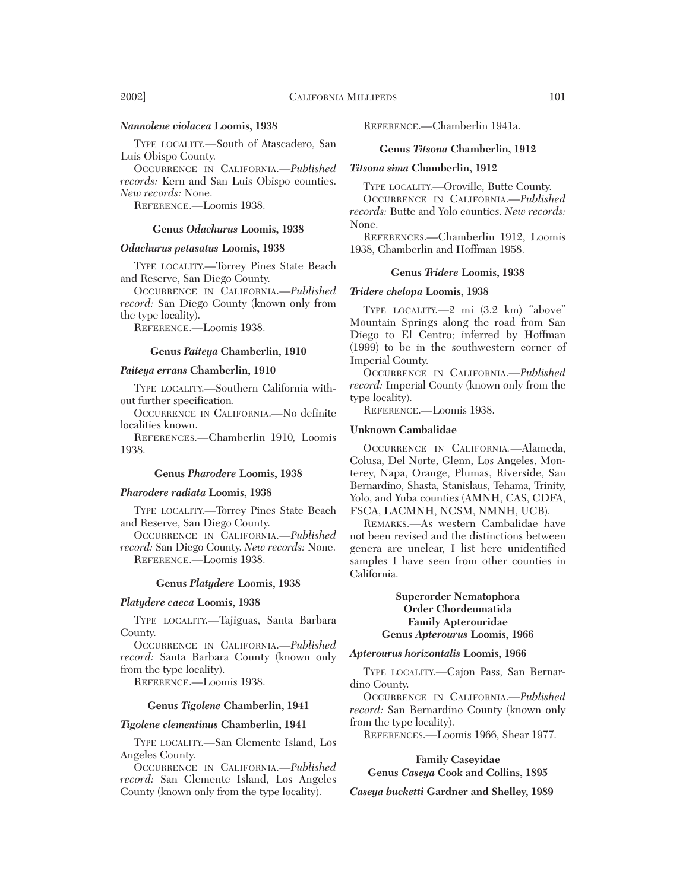#### *Nannolene violacea* **Loomis, 1938**

TYPE LOCALITY.—South of Atascadero, San Luis Obispo County.

OCCURRENCE IN CALIFORNIA.—*Published records:* Kern and San Luis Obispo counties. *New records:* None.

REFERENCE.—Loomis 1938.

## **Genus** *Odachurus* **Loomis, 1938**

#### *Odachurus petasatus* **Loomis, 1938**

TYPE LOCALITY.—Torrey Pines State Beach and Reserve, San Diego County.

OCCURRENCE IN CALIFORNIA.—*Published record:* San Diego County (known only from the type locality).

REFERENCE.—Loomis 1938.

## **Genus** *Paiteya* **Chamberlin, 1910**

## *Paiteya errans* **Chamberlin, 1910**

TYPE LOCALITY.—Southern California without further specification.

OCCURRENCE IN CALIFORNIA.—No definite localities known.

REFERENCES.—Chamberlin 1910*,* Loomis 1938.

## **Genus** *Pharodere* **Loomis, 1938**

## *Pharodere radiata* **Loomis, 1938**

TYPE LOCALITY.—Torrey Pines State Beach and Reserve, San Diego County.

OCCURRENCE IN CALIFORNIA.—*Published record:* San Diego County. *New records:* None. REFERENCE.—Loomis 1938.

#### **Genus** *Platydere* **Loomis, 1938**

#### *Platydere caeca* **Loomis, 1938**

TYPE LOCALITY.—Tajiguas, Santa Barbara County.

OCCURRENCE IN CALIFORNIA.—*Published record:* Santa Barbara County (known only from the type locality).

REFERENCE.—Loomis 1938.

## **Genus** *Tigolene* **Chamberlin, 1941**

#### *Tigolene clementinus* **Chamberlin, 1941**

TYPE LOCALITY.—San Clemente Island, Los Angeles County.

OCCURRENCE IN CALIFORNIA.—*Published record:* San Clemente Island, Los Angeles County (known only from the type locality).

REFERENCE.—Chamberlin 1941a.

## **Genus** *Titsona* **Chamberlin, 1912**

## *Titsona sima* **Chamberlin, 1912**

TYPE LOCALITY.—Oroville, Butte County. OCCURRENCE IN CALIFORNIA.—*Published records:* Butte and Yolo counties. *New records:*

None. REFERENCES.—Chamberlin 1912, Loomis

1938, Chamberlin and Hoffman 1958.

#### **Genus** *Tridere* **Loomis, 1938**

## *Tridere chelopa* **Loomis, 1938**

TYPE LOCALITY.—2 mi (3.2 km) "above" Mountain Springs along the road from San Diego to El Centro; inferred by Hoffman (1999) to be in the southwestern corner of Imperial County.

OCCURRENCE IN CALIFORNIA.—*Published record:* Imperial County (known only from the type locality).

REFERENCE.—Loomis 1938.

#### **Unknown Cambalidae**

OCCURRENCE IN CALIFORNIA*.—*Alameda, Colusa, Del Norte, Glenn, Los Angeles, Monterey, Napa, Orange, Plumas, Riverside, San Bernardino, Shasta, Stanislaus, Tehama, Trinity, Yolo, and Yuba counties (AMNH, CAS, CDFA, FSCA, LACMNH, NCSM, NMNH, UCB).

REMARKS.—As western Cambalidae have not been revised and the distinctions between genera are unclear, I list here unidentified samples I have seen from other counties in California.

## **Superorder Nematophora Order Chordeumatida Family Apterouridae Genus** *Apterourus* **Loomis, 1966**

## *Apterourus horizontalis* **Loomis, 1966**

TYPE LOCALITY.—Cajon Pass, San Bernardino County.

OCCURRENCE IN CALIFORNIA.—*Published record:* San Bernardino County (known only from the type locality).

REFERENCES.—Loomis 1966, Shear 1977.

**Family Caseyidae Genus** *Caseya* **Cook and Collins, 1895**

*Caseya bucketti* **Gardner and Shelley, 1989**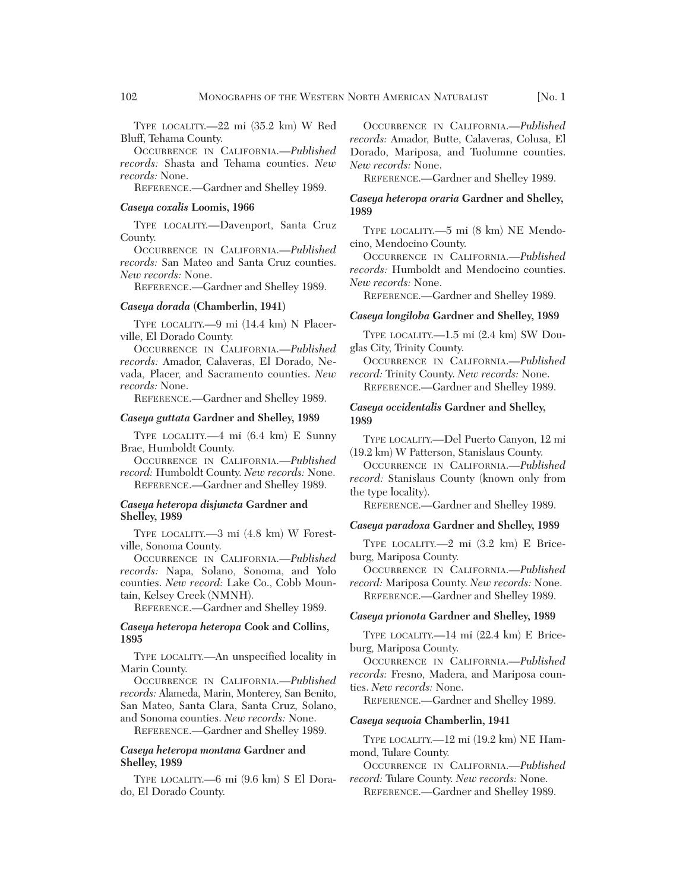TYPE LOCALITY.—22 mi (35.2 km) W Red Bluff, Tehama County.

OCCURRENCE IN CALIFORNIA.—*Published records:* Shasta and Tehama counties. *New records:* None.

REFERENCE.—Gardner and Shelley 1989.

#### *Caseya coxalis* **Loomis, 1966**

TYPE LOCALITY.—Davenport, Santa Cruz County.

OCCURRENCE IN CALIFORNIA.—*Published records:* San Mateo and Santa Cruz counties. *New records:* None.

REFERENCE.—Gardner and Shelley 1989.

## *Caseya dorada* **(Chamberlin, 1941)**

TYPE LOCALITY.—9 mi (14.4 km) N Placerville, El Dorado County.

OCCURRENCE IN CALIFORNIA.—*Published records:* Amador, Calaveras, El Dorado, Nevada, Placer, and Sacramento counties. *New records:* None.

REFERENCE.—Gardner and Shelley 1989.

#### *Caseya guttata* **Gardner and Shelley, 1989**

TYPE LOCALITY.—4 mi (6.4 km) E Sunny Brae, Humboldt County.

OCCURRENCE IN CALIFORNIA.—*Published record:* Humboldt County. *New records:* None. REFERENCE.—Gardner and Shelley 1989.

## *Caseya heteropa disjuncta* **Gardner and Shelley, 1989**

TYPE LOCALITY.—3 mi (4.8 km) W Forestville, Sonoma County.

OCCURRENCE IN CALIFORNIA.—*Published records:* Napa, Solano, Sonoma, and Yolo counties. *New record:* Lake Co., Cobb Mountain, Kelsey Creek (NMNH).

REFERENCE.—Gardner and Shelley 1989.

## *Caseya heteropa heteropa* **Cook and Collins, 1895**

TYPE LOCALITY.—An unspecified locality in Marin County.

OCCURRENCE IN CALIFORNIA.—*Published records:* Alameda, Marin, Monterey, San Benito, San Mateo, Santa Clara, Santa Cruz, Solano, and Sonoma counties. *New records:* None.

REFERENCE.—Gardner and Shelley 1989.

## *Caseya heteropa montana* **Gardner and Shelley, 1989**

TYPE LOCALITY.—6 mi (9.6 km) S El Dorado, El Dorado County.

OCCURRENCE IN CALIFORNIA.—*Published records:* Amador, Butte, Calaveras, Colusa, El Dorado, Mariposa, and Tuolumne counties. *New records:* None.

REFERENCE.—Gardner and Shelley 1989.

## *Caseya heteropa oraria* **Gardner and Shelley, 1989**

TYPE LOCALITY.—5 mi (8 km) NE Mendocino, Mendocino County.

OCCURRENCE IN CALIFORNIA.—*Published records:* Humboldt and Mendocino counties. *New records:* None.

REFERENCE.—Gardner and Shelley 1989.

## *Caseya longiloba* **Gardner and Shelley, 1989**

TYPE LOCALITY.—1.5 mi (2.4 km) SW Douglas City, Trinity County.

OCCURRENCE IN CALIFORNIA.—*Published record:* Trinity County. *New records:* None.

REFERENCE.—Gardner and Shelley 1989.

## *Caseya occidentalis* **Gardner and Shelley, 1989**

TYPE LOCALITY.—Del Puerto Canyon, 12 mi (19.2 km) W Patterson, Stanislaus County.

OCCURRENCE IN CALIFORNIA.—*Published record:* Stanislaus County (known only from the type locality).

REFERENCE.—Gardner and Shelley 1989.

## *Caseya paradoxa* **Gardner and Shelley, 1989**

TYPE LOCALITY.—2 mi (3.2 km) E Briceburg, Mariposa County.

OCCURRENCE IN CALIFORNIA.—*Published record:* Mariposa County. *New records:* None.

REFERENCE.—Gardner and Shelley 1989.

## *Caseya prionota* **Gardner and Shelley, 1989**

TYPE LOCALITY.—14 mi (22.4 km) E Briceburg, Mariposa County.

OCCURRENCE IN CALIFORNIA.—*Published records:* Fresno, Madera, and Mariposa counties. *New records:* None.

REFERENCE.—Gardner and Shelley 1989.

#### *Caseya sequoia* **Chamberlin, 1941**

TYPE LOCALITY.—12 mi (19.2 km) NE Hammond, Tulare County.

OCCURRENCE IN CALIFORNIA.—*Published record:* Tulare County. *New records:* None.

REFERENCE.—Gardner and Shelley 1989.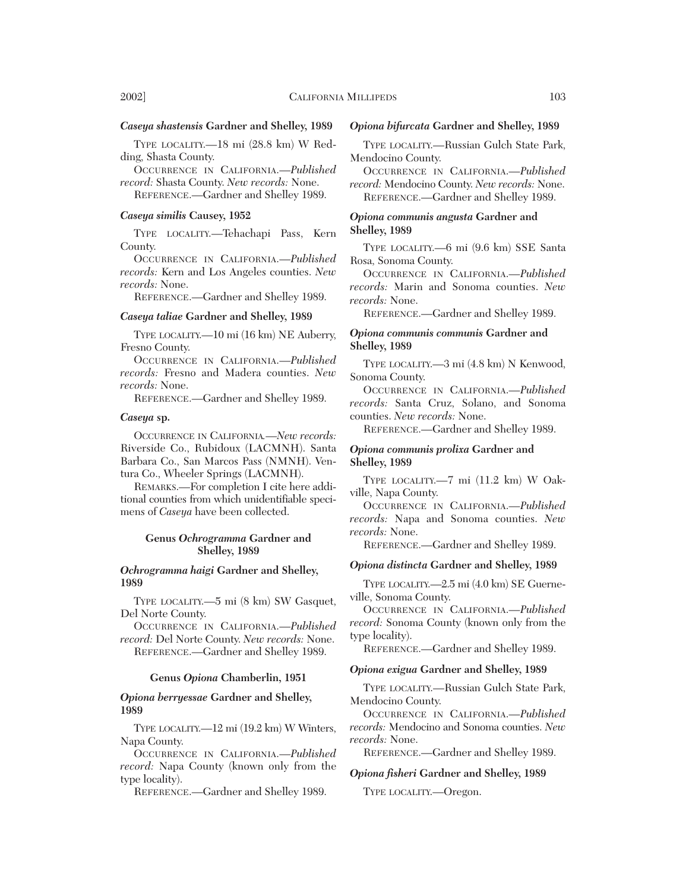## *Caseya shastensis* **Gardner and Shelley, 1989**

TYPE LOCALITY.—18 mi (28.8 km) W Redding, Shasta County.

OCCURRENCE IN CALIFORNIA.—*Published record:* Shasta County. *New records:* None.

REFERENCE.—Gardner and Shelley 1989.

## *Caseya similis* **Causey, 1952**

TYPE LOCALITY.—Tehachapi Pass, Kern County.

OCCURRENCE IN CALIFORNIA.—*Published records:* Kern and Los Angeles counties. *New records:* None.

REFERENCE.—Gardner and Shelley 1989.

## *Caseya taliae* **Gardner and Shelley, 1989**

TYPE LOCALITY.—10 mi (16 km) NE Auberry, Fresno County.

OCCURRENCE IN CALIFORNIA.—*Published records:* Fresno and Madera counties. *New records:* None.

REFERENCE.—Gardner and Shelley 1989.

## *Caseya* **sp.**

OCCURRENCE IN CALIFORNIA*.—New records:* Riverside Co., Rubidoux (LACMNH). Santa Barbara Co., San Marcos Pass (NMNH). Ventura Co., Wheeler Springs (LACMNH).

REMARKS.—For completion I cite here additional counties from which unidentifiable specimens of *Caseya* have been collected.

## **Genus** *Ochrogramma* **Gardner and Shelley, 1989**

## *Ochrogramma haigi* **Gardner and Shelley, 1989**

TYPE LOCALITY.—5 mi (8 km) SW Gasquet, Del Norte County.

OCCURRENCE IN CALIFORNIA.—*Published record:* Del Norte County. *New records:* None. REFERENCE.—Gardner and Shelley 1989.

## **Genus** *Opiona* **Chamberlin, 1951**

## *Opiona berryessae* **Gardner and Shelley, 1989**

TYPE LOCALITY.—12 mi (19.2 km) W Winters, Napa County.

OCCURRENCE IN CALIFORNIA.—*Published record:* Napa County (known only from the type locality).

REFERENCE.—Gardner and Shelley 1989.

## *Opiona bifurcata* **Gardner and Shelley, 1989**

TYPE LOCALITY.—Russian Gulch State Park, Mendocino County.

OCCURRENCE IN CALIFORNIA.—*Published record:* Mendocino County. *New records:* None.

REFERENCE.—Gardner and Shelley 1989.

## *Opiona communis angusta* **Gardner and Shelley, 1989**

TYPE LOCALITY.—6 mi (9.6 km) SSE Santa Rosa, Sonoma County.

OCCURRENCE IN CALIFORNIA.—*Published records:* Marin and Sonoma counties. *New records:* None.

REFERENCE.—Gardner and Shelley 1989.

## *Opiona communis communis* **Gardner and Shelley, 1989**

TYPE LOCALITY.—3 mi (4.8 km) N Kenwood, Sonoma County.

OCCURRENCE IN CALIFORNIA.—*Published records:* Santa Cruz, Solano, and Sonoma counties. *New records:* None.

REFERENCE.—Gardner and Shelley 1989.

## *Opiona communis prolixa* **Gardner and Shelley, 1989**

TYPE LOCALITY.—7 mi (11.2 km) W Oakville, Napa County.

OCCURRENCE IN CALIFORNIA.—*Published records:* Napa and Sonoma counties. *New records:* None.

REFERENCE.—Gardner and Shelley 1989.

#### *Opiona distincta* **Gardner and Shelley, 1989**

TYPE LOCALITY.—2.5 mi (4.0 km) SE Guerneville, Sonoma County.

OCCURRENCE IN CALIFORNIA.—*Published record:* Sonoma County (known only from the type locality).

REFERENCE.—Gardner and Shelley 1989.

## *Opiona exigua* **Gardner and Shelley, 1989**

TYPE LOCALITY.—Russian Gulch State Park, Mendocino County.

OCCURRENCE IN CALIFORNIA.—*Published records:* Mendocino and Sonoma counties. *New records:* None.

REFERENCE.—Gardner and Shelley 1989.

## *Opiona fisheri* **Gardner and Shelley, 1989**

TYPE LOCALITY.—Oregon.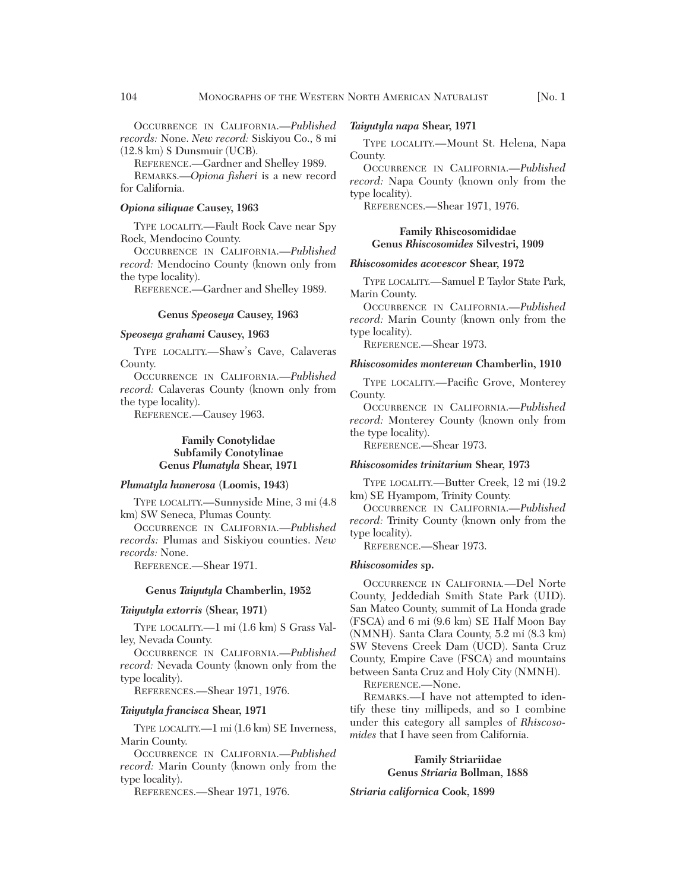OCCURRENCE IN CALIFORNIA.—*Published records:* None. *New record:* Siskiyou Co., 8 mi (12.8 km) S Dunsmuir (UCB).

REFERENCE.*—*Gardner and Shelley 1989.

REMARKS.—*Opiona fisheri* is a new record for California.

## *Opiona siliquae* **Causey, 1963**

TYPE LOCALITY.—Fault Rock Cave near Spy Rock, Mendocino County.

OCCURRENCE IN CALIFORNIA.—*Published record:* Mendocino County (known only from the type locality).

REFERENCE.—Gardner and Shelley 1989.

## **Genus** *Speoseya* **Causey, 1963**

## *Speoseya grahami* **Causey, 1963**

TYPE LOCALITY.—Shaw's Cave, Calaveras County.

OCCURRENCE IN CALIFORNIA.—*Published record:* Calaveras County (known only from the type locality).

REFERENCE.—Causey 1963.

## **Family Conotylidae Subfamily Conotylinae Genus** *Plumatyla* **Shear, 1971**

#### *Plumatyla humerosa* **(Loomis, 1943)**

TYPE LOCALITY.—Sunnyside Mine, 3 mi (4.8 km) SW Seneca, Plumas County.

OCCURRENCE IN CALIFORNIA.—*Published records:* Plumas and Siskiyou counties. *New records:* None.

REFERENCE.—Shear 1971.

## **Genus** *Taiyutyla* **Chamberlin, 1952**

## *Taiyutyla extorris* **(Shear, 1971)**

TYPE LOCALITY.—1 mi (1.6 km) S Grass Valley, Nevada County.

OCCURRENCE IN CALIFORNIA.—*Published record:* Nevada County (known only from the type locality).

REFERENCES.—Shear 1971, 1976.

## *Taiyutyla francisca* **Shear, 1971**

TYPE LOCALITY.—1 mi (1.6 km) SE Inverness, Marin County.

OCCURRENCE IN CALIFORNIA.—*Published record:* Marin County (known only from the type locality).

REFERENCES.—Shear 1971, 1976.

## *Taiyutyla napa* **Shear, 1971**

TYPE LOCALITY.—Mount St. Helena, Napa County.

OCCURRENCE IN CALIFORNIA.—*Published record:* Napa County (known only from the type locality).

REFERENCES.—Shear 1971, 1976.

## **Family Rhiscosomididae Genus** *Rhiscosomides* **Silvestri, 1909**

## *Rhiscosomides acovescor* **Shear, 1972**

TYPE LOCALITY.—Samuel P. Taylor State Park, Marin County.

OCCURRENCE IN CALIFORNIA.—*Published record:* Marin County (known only from the type locality).

REFERENCE.—Shear 1973.

#### *Rhiscosomides montereum* **Chamberlin, 1910**

TYPE LOCALITY.—Pacific Grove, Monterey County.

OCCURRENCE IN CALIFORNIA.—*Published record:* Monterey County (known only from the type locality).

REFERENCE.*—*Shear 1973.

## *Rhiscosomides trinitarium* **Shear, 1973**

TYPE LOCALITY.—Butter Creek, 12 mi (19.2 km) SE Hyampom, Trinity County.

OCCURRENCE IN CALIFORNIA.—*Published record:* Trinity County (known only from the type locality).

REFERENCE.—Shear 1973.

#### *Rhiscosomides* **sp.**

OCCURRENCE IN CALIFORNIA*.—*Del Norte County, Jeddediah Smith State Park (UID). San Mateo County, summit of La Honda grade (FSCA) and 6 mi (9.6 km) SE Half Moon Bay (NMNH). Santa Clara County, 5.2 mi (8.3 km) SW Stevens Creek Dam (UCD). Santa Cruz County, Empire Cave (FSCA) and mountains between Santa Cruz and Holy City (NMNH).

REFERENCE.—None.

REMARKS.—I have not attempted to identify these tiny millipeds, and so I combine under this category all samples of *Rhiscosomides* that I have seen from California.

> **Family Striariidae Genus** *Striaria* **Bollman, 1888**

*Striaria californica* **Cook, 1899**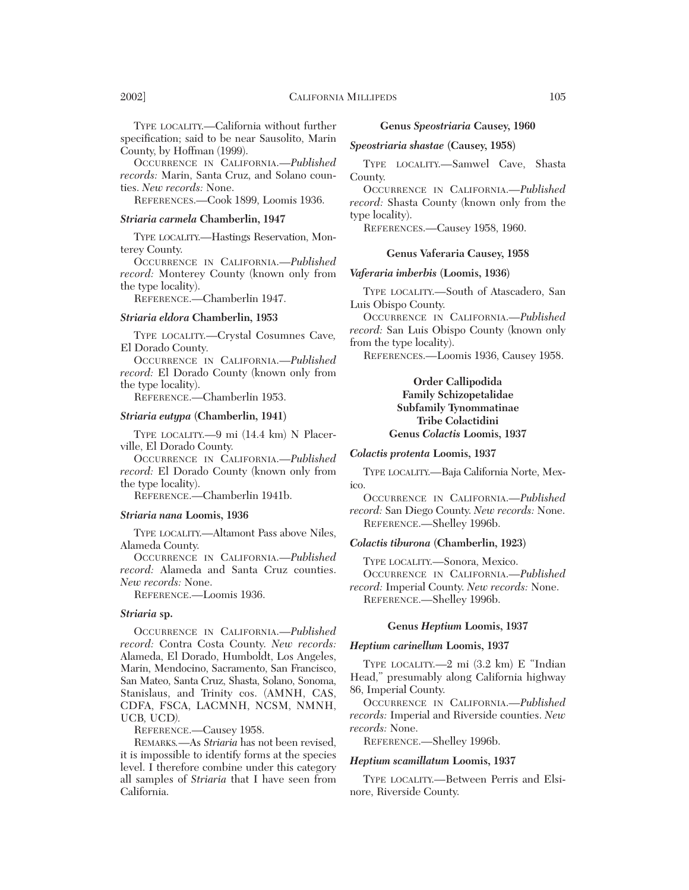TYPE LOCALITY.—California without further specification; said to be near Sausolito, Marin County, by Hoffman (1999).

OCCURRENCE IN CALIFORNIA.—*Published records:* Marin, Santa Cruz, and Solano counties. *New records:* None.

REFERENCES.—Cook 1899, Loomis 1936.

#### *Striaria carmela* **Chamberlin, 1947**

TYPE LOCALITY.—Hastings Reservation, Monterey County.

OCCURRENCE IN CALIFORNIA.—*Published record:* Monterey County (known only from the type locality).

REFERENCE.—Chamberlin 1947.

#### *Striaria eldora* **Chamberlin, 1953**

TYPE LOCALITY.—Crystal Cosumnes Cave*,* El Dorado County*.*

OCCURRENCE IN CALIFORNIA.—*Published record:* El Dorado County (known only from the type locality).

REFERENCE.—Chamberlin 1953.

## *Striaria eutypa* **(Chamberlin, 1941)**

TYPE LOCALITY.—9 mi (14.4 km) N Placerville, El Dorado County.

OCCURRENCE IN CALIFORNIA.—*Published record:* El Dorado County (known only from the type locality).

REFERENCE.*—*Chamberlin 1941b.

## *Striaria nana* **Loomis, 1936**

TYPE LOCALITY.—Altamont Pass above Niles, Alameda County.

OCCURRENCE IN CALIFORNIA.—*Published record:* Alameda and Santa Cruz counties. *New records:* None.

REFERENCE.—Loomis 1936.

## *Striaria* **sp.**

OCCURRENCE IN CALIFORNIA.—*Published record:* Contra Costa County. *New records:* Alameda, El Dorado, Humboldt, Los Angeles, Marin, Mendocino, Sacramento, San Francisco, San Mateo, Santa Cruz, Shasta, Solano, Sonoma, Stanislaus, and Trinity cos. (AMNH, CAS, CDFA, FSCA, LACMNH, NCSM, NMNH, UCB*,* UCD*).*

REFERENCE.—Causey 1958.

REMARKS*.*—As *Striaria* has not been revised, it is impossible to identify forms at the species level. I therefore combine under this category all samples of *Striaria* that I have seen from California.

#### **Genus** *Speostriaria* **Causey, 1960**

#### *Speostriaria shastae* **(Causey, 1958)**

TYPE LOCALITY.—Samwel Cave, Shasta County.

OCCURRENCE IN CALIFORNIA.—*Published record:* Shasta County (known only from the type locality).

REFERENCES.—Causey 1958, 1960.

## **Genus Vaferaria Causey, 1958**

## *Vaferaria imberbis* **(Loomis, 1936)**

TYPE LOCALITY.—South of Atascadero, San Luis Obispo County.

OCCURRENCE IN CALIFORNIA.—*Published record:* San Luis Obispo County (known only from the type locality).

REFERENCES.—Loomis 1936, Causey 1958.

**Order Callipodida Family Schizopetalidae Subfamily Tynommatinae Tribe Colactidini Genus** *Colactis* **Loomis, 1937**

#### *Colactis protenta* **Loomis, 1937**

TYPE LOCALITY.—Baja California Norte, Mexico.

OCCURRENCE IN CALIFORNIA.—*Published record:* San Diego County. *New records:* None. REFERENCE.—Shelley 1996b.

## *Colactis tiburona* **(Chamberlin, 1923)**

TYPE LOCALITY.—Sonora, Mexico.

OCCURRENCE IN CALIFORNIA.—*Published record:* Imperial County. *New records:* None. REFERENCE.—Shelley 1996b.

## **Genus** *Heptium* **Loomis, 1937**

#### *Heptium carinellum* **Loomis, 1937**

TYPE LOCALITY.—2 mi (3.2 km) E "Indian Head," presumably along California highway 86, Imperial County.

OCCURRENCE IN CALIFORNIA.—*Published records:* Imperial and Riverside counties. *New records:* None.

REFERENCE.—Shelley 1996b.

## *Heptium scamillatum* **Loomis, 1937**

TYPE LOCALITY.—Between Perris and Elsinore, Riverside County.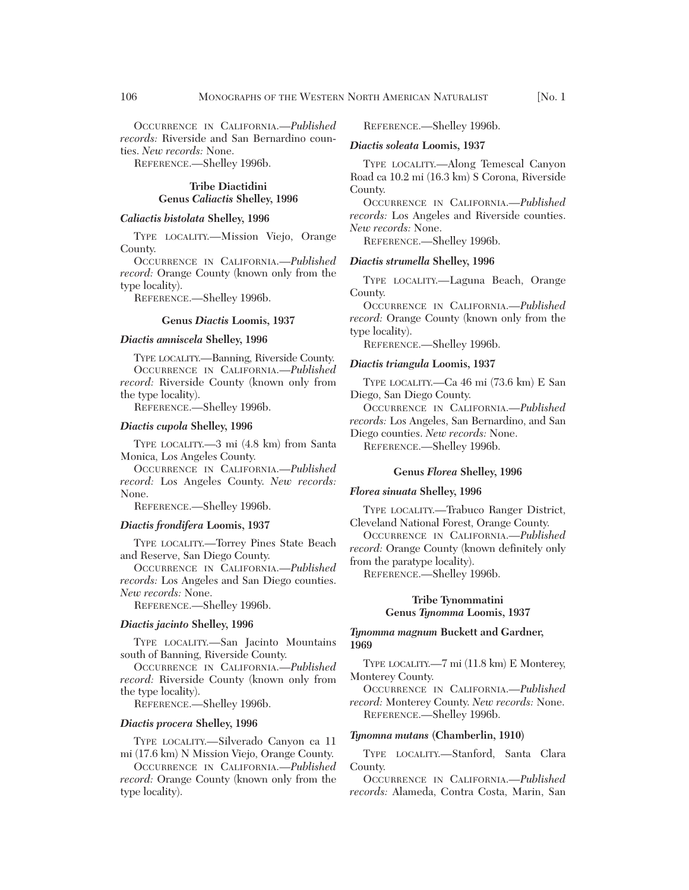OCCURRENCE IN CALIFORNIA.—*Published records:* Riverside and San Bernardino counties. *New records:* None.

REFERENCE.—Shelley 1996b.

## **Tribe Diactidini Genus** *Caliactis* **Shelley, 1996**

## *Caliactis bistolata* **Shelley, 1996**

TYPE LOCALITY.—Mission Viejo, Orange County.

OCCURRENCE IN CALIFORNIA.—*Published record:* Orange County (known only from the type locality).

REFERENCE.—Shelley 1996b.

## **Genus** *Diactis* **Loomis, 1937**

## *Diactis amniscela* **Shelley, 1996**

TYPE LOCALITY.—Banning, Riverside County. OCCURRENCE IN CALIFORNIA.—*Published record:* Riverside County (known only from the type locality).

REFERENCE.—Shelley 1996b.

## *Diactis cupola* **Shelley, 1996**

TYPE LOCALITY.—3 mi (4.8 km) from Santa Monica, Los Angeles County.

OCCURRENCE IN CALIFORNIA.—*Published record:* Los Angeles County. *New records:* None.

REFERENCE.—Shelley 1996b.

## *Diactis frondifera* **Loomis, 1937**

TYPE LOCALITY.—Torrey Pines State Beach and Reserve, San Diego County.

OCCURRENCE IN CALIFORNIA.—*Published records:* Los Angeles and San Diego counties. *New records:* None.

REFERENCE.—Shelley 1996b.

## *Diactis jacinto* **Shelley, 1996**

TYPE LOCALITY.—San Jacinto Mountains south of Banning, Riverside County.

OCCURRENCE IN CALIFORNIA.—*Published record:* Riverside County (known only from the type locality).

REFERENCE.—Shelley 1996b.

## *Diactis procera* **Shelley, 1996**

TYPE LOCALITY.—Silverado Canyon ca 11 mi (17.6 km) N Mission Viejo, Orange County.

OCCURRENCE IN CALIFORNIA.—*Published record:* Orange County (known only from the type locality).

REFERENCE.—Shelley 1996b.

## *Diactis soleata* **Loomis, 1937**

TYPE LOCALITY.—Along Temescal Canyon Road ca 10.2 mi (16.3 km) S Corona, Riverside County.

OCCURRENCE IN CALIFORNIA.—*Published records:* Los Angeles and Riverside counties. *New records:* None.

REFERENCE.—Shelley 1996b.

#### *Diactis strumella* **Shelley, 1996**

TYPE LOCALITY.—Laguna Beach, Orange County.

OCCURRENCE IN CALIFORNIA.—*Published record:* Orange County (known only from the type locality).

REFERENCE.—Shelley 1996b.

*Diactis triangula* **Loomis, 1937**

TYPE LOCALITY.—Ca 46 mi (73.6 km) E San Diego, San Diego County.

OCCURRENCE IN CALIFORNIA.—*Published records:* Los Angeles, San Bernardino, and San

Diego counties. *New records:* None.

REFERENCE.*—*Shelley 1996b.

## **Genus** *Florea* **Shelley, 1996**

#### *Florea sinuata* **Shelley, 1996**

TYPE LOCALITY.—Trabuco Ranger District, Cleveland National Forest, Orange County.

OCCURRENCE IN CALIFORNIA.—*Published record:* Orange County (known definitely only from the paratype locality).

REFERENCE.—Shelley 1996b.

## **Tribe Tynommatini Genus** *Tynomma* **Loomis, 1937**

## *Tynomma magnum* **Buckett and Gardner, 1969**

TYPE LOCALITY.—7 mi (11.8 km) E Monterey, Monterey County.

OCCURRENCE IN CALIFORNIA.—*Published record:* Monterey County. *New records:* None. REFERENCE.—Shelley 1996b.

## *Tynomna mutans* **(Chamberlin, 1910)**

TYPE LOCALITY.—Stanford, Santa Clara County.

OCCURRENCE IN CALIFORNIA.—*Published records:* Alameda, Contra Costa, Marin, San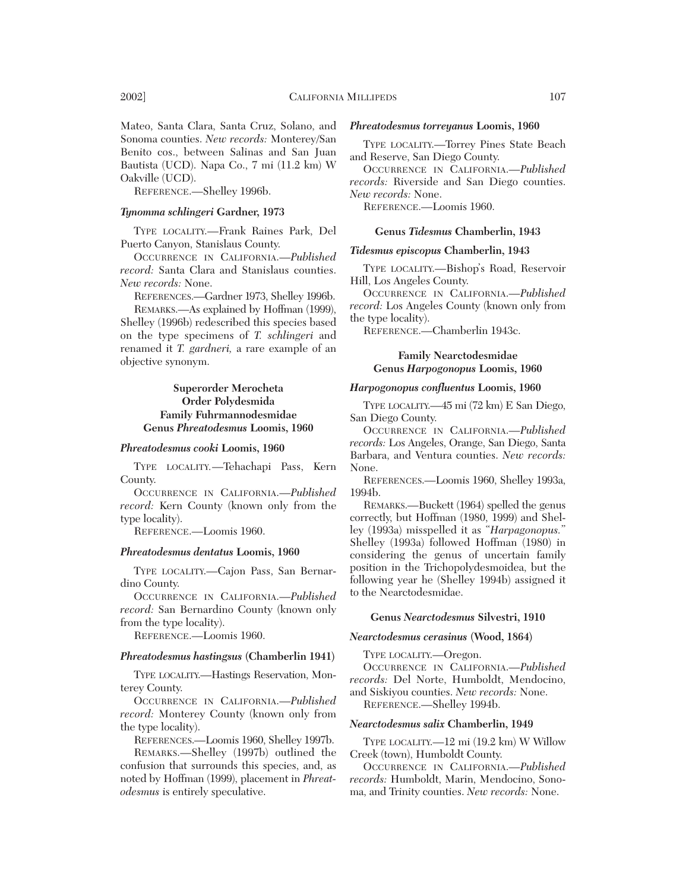Mateo, Santa Clara, Santa Cruz, Solano, and Sonoma counties. *New records:* Monterey/San Benito cos., between Salinas and San Juan Bautista (UCD). Napa Co., 7 mi (11.2 km) W Oakville (UCD).

REFERENCE.—Shelley 1996b.

#### *Tynomma schlingeri* **Gardner, 1973**

TYPE LOCALITY.—Frank Raines Park, Del Puerto Canyon, Stanislaus County.

OCCURRENCE IN CALIFORNIA.—*Published record:* Santa Clara and Stanislaus counties. *New records:* None.

REFERENCES.—Gardner 1973, Shelley 1996b.

REMARKS.—As explained by Hoffman (1999), Shelley (1996b) redescribed this species based on the type specimens of *T. schlingeri* and renamed it *T. gardneri,* a rare example of an objective synonym.

## **Superorder Merocheta Order Polydesmida Family Fuhrmannodesmidae Genus** *Phreatodesmus* **Loomis, 1960**

#### *Phreatodesmus cooki* **Loomis, 1960**

TYPE LOCALITY*.—*Tehachapi Pass, Kern County.

OCCURRENCE IN CALIFORNIA.—*Published record:* Kern County (known only from the type locality).

REFERENCE.—Loomis 1960.

## *Phreatodesmus dentatus* **Loomis, 1960**

TYPE LOCALITY.—Cajon Pass, San Bernardino County.

OCCURRENCE IN CALIFORNIA.—*Published record:* San Bernardino County (known only from the type locality).

REFERENCE.—Loomis 1960.

## *Phreatodesmus hastingsus* **(Chamberlin 1941)**

TYPE LOCALITY.—Hastings Reservation, Monterey County.

OCCURRENCE IN CALIFORNIA.—*Published record:* Monterey County (known only from the type locality).

REFERENCES.—Loomis 1960, Shelley 1997b.

REMARKS.—Shelley (1997b) outlined the confusion that surrounds this species, and, as noted by Hoffman (1999), placement in *Phreatodesmus* is entirely speculative.

#### *Phreatodesmus torreyanus* **Loomis, 1960**

TYPE LOCALITY.—Torrey Pines State Beach and Reserve, San Diego County.

OCCURRENCE IN CALIFORNIA.—*Published records:* Riverside and San Diego counties. *New records:* None.

REFERENCE.—Loomis 1960.

## **Genus** *Tidesmus* **Chamberlin, 1943**

#### *Tidesmus episcopus* **Chamberlin, 1943**

TYPE LOCALITY.—Bishop's Road, Reservoir Hill, Los Angeles County.

OCCURRENCE IN CALIFORNIA.—*Published record:* Los Angeles County (known only from the type locality).

REFERENCE.—Chamberlin 1943c.

## **Family Nearctodesmidae Genus** *Harpogonopus* **Loomis, 1960**

## *Harpogonopus confluentus* **Loomis, 1960**

TYPE LOCALITY.—45 mi (72 km) E San Diego, San Diego County.

OCCURRENCE IN CALIFORNIA.—*Published records:* Los Angeles, Orange, San Diego, Santa Barbara, and Ventura counties. *New records:* None.

REFERENCES.—Loomis 1960, Shelley 1993a, 1994b.

REMARKS.—Buckett (1964) spelled the genus correctly, but Hoffman (1980, 1999) and Shelley (1993a) misspelled it as "*Harpagonopus.*" Shelley (1993a) followed Hoffman (1980) in considering the genus of uncertain family position in the Trichopolydesmoidea, but the following year he (Shelley 1994b) assigned it to the Nearctodesmidae.

## **Genus** *Nearctodesmus* **Silvestri, 1910**

## *Nearctodesmus cerasinus* **(Wood, 1864)**

TYPE LOCALITY.—Oregon.

OCCURRENCE IN CALIFORNIA.—*Published records:* Del Norte, Humboldt, Mendocino, and Siskiyou counties. *New records:* None.

REFERENCE.—Shelley 1994b.

## *Nearctodesmus salix* **Chamberlin, 1949**

TYPE LOCALITY.—12 mi (19.2 km) W Willow Creek (town), Humboldt County.

OCCURRENCE IN CALIFORNIA.—*Published records:* Humboldt, Marin, Mendocino, Sonoma, and Trinity counties. *New records:* None.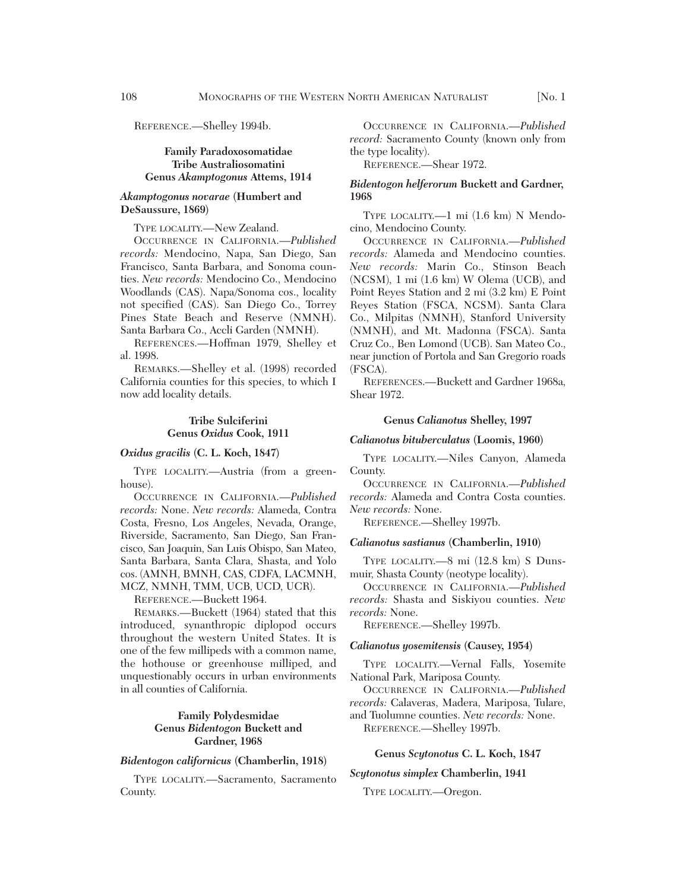REFERENCE.—Shelley 1994b.

## **Family Paradoxosomatidae Tribe Australiosomatini Genus** *Akamptogonus* **Attems, 1914**

## *Akamptogonus novarae* **(Humbert and DeSaussure, 1869)**

TYPE LOCALITY.—New Zealand.

OCCURRENCE IN CALIFORNIA.—*Published records:* Mendocino, Napa, San Diego, San Francisco, Santa Barbara, and Sonoma counties. *New records:* Mendocino Co., Mendocino Woodlands (CAS). Napa/Sonoma cos., locality not specified (CAS). San Diego Co., Torrey Pines State Beach and Reserve (NMNH). Santa Barbara Co., Accli Garden (NMNH).

REFERENCES.—Hoffman 1979, Shelley et al. 1998.

REMARKS.—Shelley et al. (1998) recorded California counties for this species, to which I now add locality details.

## **Tribe Sulciferini Genus** *Oxidus* **Cook, 1911**

#### *Oxidus gracilis* **(C. L. Koch, 1847)**

TYPE LOCALITY.—Austria (from a greenhouse).

OCCURRENCE IN CALIFORNIA.—*Published records:* None. *New records:* Alameda, Contra Costa, Fresno, Los Angeles, Nevada, Orange, Riverside, Sacramento, San Diego, San Francisco, San Joaquin, San Luis Obispo, San Mateo, Santa Barbara, Santa Clara, Shasta, and Yolo cos. (AMNH, BMNH, CAS, CDFA, LACMNH, MCZ, NMNH, TMM, UCB, UCD, UCR).

REFERENCE.*—*Buckett 1964.

REMARKS.—Buckett (1964) stated that this introduced, synanthropic diplopod occurs throughout the western United States. It is one of the few millipeds with a common name, the hothouse or greenhouse milliped, and unquestionably occurs in urban environments in all counties of California.

## **Family Polydesmidae Genus** *Bidentogon* **Buckett and Gardner, 1968**

## *Bidentogon californicus* **(Chamberlin, 1918)**

TYPE LOCALITY.—Sacramento, Sacramento County.

OCCURRENCE IN CALIFORNIA.—*Published record:* Sacramento County (known only from the type locality).

REFERENCE.—Shear 1972.

## *Bidentogon helferorum* **Buckett and Gardner, 1968**

TYPE LOCALITY.—1 mi (1.6 km) N Mendocino, Mendocino County.

OCCURRENCE IN CALIFORNIA.—*Published records:* Alameda and Mendocino counties. *New records:* Marin Co., Stinson Beach (NCSM), 1 mi (1.6 km) W Olema (UCB), and Point Reyes Station and 2 mi (3.2 km) E Point Reyes Station (FSCA, NCSM). Santa Clara Co., Milpitas (NMNH), Stanford University (NMNH), and Mt. Madonna (FSCA). Santa Cruz Co., Ben Lomond (UCB). San Mateo Co., near junction of Portola and San Gregorio roads (FSCA).

REFERENCES.—Buckett and Gardner 1968a, Shear 1972.

## **Genus** *Calianotus* **Shelley, 1997**

## *Calianotus bituberculatus* **(Loomis, 1960)**

TYPE LOCALITY.—Niles Canyon, Alameda County.

OCCURRENCE IN CALIFORNIA.—*Published records:* Alameda and Contra Costa counties. *New records:* None.

REFERENCE.—Shelley 1997b.

## *Calianotus sastianus* **(Chamberlin, 1910)**

TYPE LOCALITY.—8 mi (12.8 km) S Dunsmuir, Shasta County (neotype locality).

OCCURRENCE IN CALIFORNIA.—*Published records:* Shasta and Siskiyou counties. *New records:* None.

REFERENCE.—Shelley 1997b.

#### *Calianotus yosemitensis* **(Causey, 1954)**

TYPE LOCALITY.—Vernal Falls, Yosemite National Park, Mariposa County.

OCCURRENCE IN CALIFORNIA.—*Published records:* Calaveras, Madera, Mariposa, Tulare, and Tuolumne counties. *New records:* None.

REFERENCE.—Shelley 1997b.

## **Genus** *Scytonotus* **C. L. Koch, 1847**

*Scytonotus simplex* **Chamberlin, 1941**

TYPE LOCALITY.—Oregon.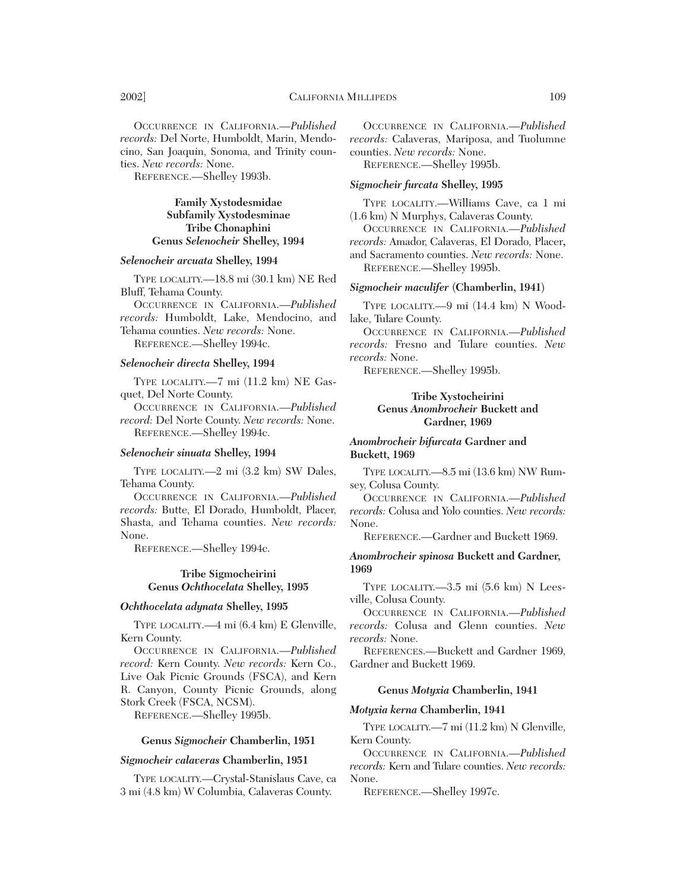OCCURRENCE IN CALIFORNIA.—*Published records:* Del Norte, Humboldt, Marin, Mendocino, San Joaquin, Sonoma, and Trinity counties. *New records:* None.

REFERENCE.—Shelley 1993b.

## **Family Xystodesmidae Subfamily Xystodesminae Tribe Chonaphini Genus** *Selenocheir* **Shelley, 1994**

## *Selenocheir arcuata* **Shelley, 1994**

TYPE LOCALITY.—18.8 mi (30.1 km) NE Red Bluff, Tehama County.

OCCURRENCE IN CALIFORNIA.—*Published*

*records:* Humboldt, Lake, Mendocino, and Tehama counties. *New records:* None.

REFERENCE.—Shelley 1994c.

## *Selenocheir directa* **Shelley, 1994**

TYPE LOCALITY.—7 mi (11.2 km) NE Gasquet, Del Norte County.

OCCURRENCE IN CALIFORNIA.—*Published record:* Del Norte County. *New records:* None. REFERENCE.—Shelley 1994c.

## *Selenocheir sinuata* **Shelley, 1994**

TYPE LOCALITY.—2 mi (3.2 km) SW Dales, Tehama County.

OCCURRENCE IN CALIFORNIA.—*Published records:* Butte, El Dorado, Humboldt, Placer, Shasta, and Tehama counties. *New records:* None.

REFERENCE.—Shelley 1994c.

## **Tribe Sigmocheirini Genus** *Ochthocelata* **Shelley, 1995**

## *Ochthocelata adynata* **Shelley, 1995**

TYPE LOCALITY.—4 mi (6.4 km) E Glenville, Kern County.

OCCURRENCE IN CALIFORNIA.—*Published record:* Kern County. *New records:* Kern Co., Live Oak Picnic Grounds (FSCA), and Kern R. Canyon, County Picnic Grounds, along Stork Creek (FSCA, NCSM).

REFERENCE.—Shelley 1995b.

## **Genus** *Sigmocheir* **Chamberlin, 1951**

## *Sigmocheir calaveras* **Chamberlin, 1951**

TYPE LOCALITY.—Crystal-Stanislaus Cave, ca 3 mi (4.8 km) W Columbia, Calaveras County.

OCCURRENCE IN CALIFORNIA.—*Published records:* Calaveras, Mariposa, and Tuolumne counties. *New records:* None. REFERENCE.—Shelley 1995b.

## *Sigmocheir furcata* **Shelley, 1995**

TYPE LOCALITY.—Williams Cave, ca 1 mi (1.6 km) N Murphys, Calaveras County.

OCCURRENCE IN CALIFORNIA.—*Published records:* Amador, Calaveras, El Dorado, Placer**,** and Sacramento counties. *New records:* None.

REFERENCE.—Shelley 1995b.

#### *Sigmocheir maculifer* **(Chamberlin, 1941)**

TYPE LOCALITY.—9 mi (14.4 km) N Woodlake, Tulare County.

OCCURRENCE IN CALIFORNIA.—*Published records:* Fresno and Tulare counties. *New records:* None.

REFERENCE.—Shelley 1995b.

## **Tribe Xystocheirini Genus** *Anombrocheir* **Buckett and Gardner, 1969**

## *Anombrocheir bifurcata* **Gardner and Buckett, 1969**

TYPE LOCALITY.—8.5 mi (13.6 km) NW Rumsey, Colusa County.

OCCURRENCE IN CALIFORNIA.—*Published records:* Colusa and Yolo counties. *New records:* None.

REFERENCE.—Gardner and Buckett 1969.

## *Anombrocheir spinosa* **Buckett and Gardner, 1969**

TYPE LOCALITY.—3.5 mi (5.6 km) N Leesville, Colusa County.

OCCURRENCE IN CALIFORNIA.—*Published records:* Colusa and Glenn counties. *New records:* None.

REFERENCES.—Buckett and Gardner 1969, Gardner and Buckett 1969.

#### **Genus** *Motyxia* **Chamberlin, 1941**

#### *Motyxia kerna* **Chamberlin, 1941**

TYPE LOCALITY.—7 mi (11.2 km) N Glenville, Kern County.

OCCURRENCE IN CALIFORNIA.—*Published records:* Kern and Tulare counties. *New records:* None.

REFERENCE.—Shelley 1997c.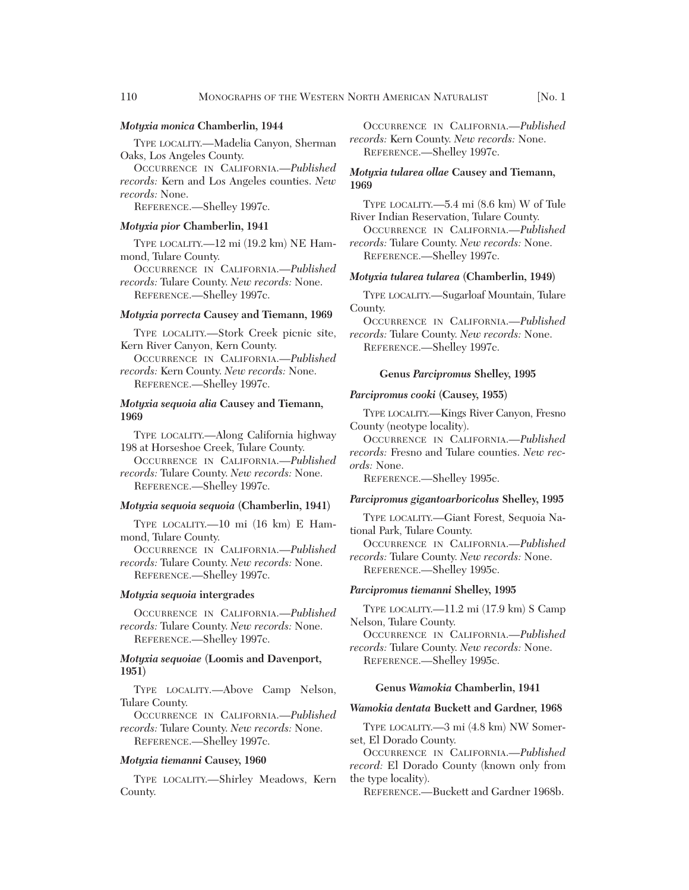## *Motyxia monica* **Chamberlin, 1944**

TYPE LOCALITY.—Madelia Canyon, Sherman Oaks, Los Angeles County.

OCCURRENCE IN CALIFORNIA.—*Published records:* Kern and Los Angeles counties. *New records:* None.

REFERENCE.—Shelley 1997c.

## *Motyxia pior* **Chamberlin, 1941**

TYPE LOCALITY.—12 mi (19.2 km) NE Hammond, Tulare County.

OCCURRENCE IN CALIFORNIA.—*Published records:* Tulare County. *New records:* None. REFERENCE.—Shelley 1997c.

## *Motyxia porrecta* **Causey and Tiemann, 1969**

TYPE LOCALITY.—Stork Creek picnic site, Kern River Canyon, Kern County.

OCCURRENCE IN CALIFORNIA.—*Published records:* Kern County. *New records:* None. REFERENCE.—Shelley 1997c.

## *Motyxia sequoia alia* **Causey and Tiemann, 1969**

TYPE LOCALITY.—Along California highway 198 at Horseshoe Creek, Tulare County.

OCCURRENCE IN CALIFORNIA.—*Published records:* Tulare County. *New records:* None. REFERENCE.—Shelley 1997c.

## *Motyxia sequoia sequoia* **(Chamberlin, 1941)**

TYPE LOCALITY.—10 mi (16 km) E Hammond, Tulare County.

OCCURRENCE IN CALIFORNIA.—*Published records:* Tulare County. *New records:* None. REFERENCE.—Shelley 1997c.

#### *Motyxia sequoia* **intergrades**

OCCURRENCE IN CALIFORNIA.—*Published records:* Tulare County. *New records:* None. REFERENCE.—Shelley 1997c.

## *Motyxia sequoiae* **(Loomis and Davenport, 1951)**

TYPE LOCALITY.—Above Camp Nelson, Tulare County.

OCCURRENCE IN CALIFORNIA.—*Published records:* Tulare County. *New records:* None. REFERENCE.—Shelley 1997c.

## *Motyxia tiemanni* **Causey, 1960**

TYPE LOCALITY.—Shirley Meadows, Kern County.

OCCURRENCE IN CALIFORNIA.—*Published records:* Kern County. *New records:* None. REFERENCE.—Shelley 1997c.

## *Motyxia tularea ollae* **Causey and Tiemann, 1969**

TYPE LOCALITY.—5.4 mi (8.6 km) W of Tule River Indian Reservation, Tulare County.

OCCURRENCE IN CALIFORNIA.—*Published records:* Tulare County. *New records:* None.

REFERENCE.—Shelley 1997c.

## *Motyxia tularea tularea* **(Chamberlin, 1949)**

TYPE LOCALITY.—Sugarloaf Mountain, Tulare County.

OCCURRENCE IN CALIFORNIA.—*Published records:* Tulare County. *New records:* None.

REFERENCE.—Shelley 1997c.

## **Genus** *Parcipromus* **Shelley, 1995**

## *Parcipromus cooki* **(Causey, 1955)**

TYPE LOCALITY.—Kings River Canyon, Fresno County (neotype locality).

OCCURRENCE IN CALIFORNIA.—*Published records:* Fresno and Tulare counties. *New records:* None.

REFERENCE.—Shelley 1995c.

#### *Parcipromus gigantoarboricolus* **Shelley, 1995**

TYPE LOCALITY.—Giant Forest, Sequoia National Park, Tulare County.

OCCURRENCE IN CALIFORNIA.—*Published records:* Tulare County. *New records:* None. REFERENCE.—Shelley 1995c.

#### *Parcipromus tiemanni* **Shelley, 1995**

TYPE LOCALITY.—11.2 mi (17.9 km) S Camp Nelson, Tulare County.

OCCURRENCE IN CALIFORNIA.—*Published records:* Tulare County. *New records:* None.

REFERENCE.—Shelley 1995c.

## **Genus** *Wamokia* **Chamberlin, 1941**

#### *Wamokia dentata* **Buckett and Gardner, 1968**

TYPE LOCALITY.—3 mi (4.8 km) NW Somerset, El Dorado County.

OCCURRENCE IN CALIFORNIA.—*Published record:* El Dorado County (known only from the type locality).

REFERENCE.—Buckett and Gardner 1968b.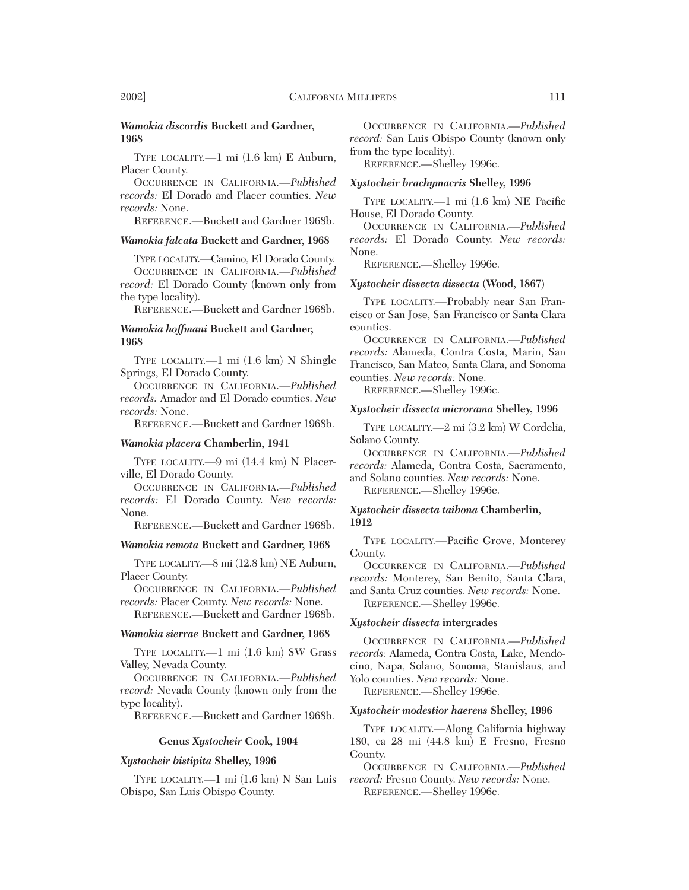## *Wamokia discordis* **Buckett and Gardner, 1968**

TYPE LOCALITY.—1 mi (1.6 km) E Auburn, Placer County.

OCCURRENCE IN CALIFORNIA.—*Published records:* El Dorado and Placer counties. *New records:* None.

REFERENCE.—Buckett and Gardner 1968b.

## *Wamokia falcata* **Buckett and Gardner, 1968**

TYPE LOCALITY.—Camino, El Dorado County. OCCURRENCE IN CALIFORNIA.—*Published record:* El Dorado County (known only from the type locality).

REFERENCE.—Buckett and Gardner 1968b.

## *Wamokia hoffmani* **Buckett and Gardner, 1968**

TYPE LOCALITY.—1 mi (1.6 km) N Shingle Springs, El Dorado County.

OCCURRENCE IN CALIFORNIA.—*Published records:* Amador and El Dorado counties. *New records:* None.

REFERENCE.—Buckett and Gardner 1968b.

#### *Wamokia placera* **Chamberlin, 1941**

TYPE LOCALITY.—9 mi (14.4 km) N Placerville, El Dorado County.

OCCURRENCE IN CALIFORNIA.—*Published records:* El Dorado County. *New records:* None.

REFERENCE.—Buckett and Gardner 1968b.

## *Wamokia remota* **Buckett and Gardner, 1968**

TYPE LOCALITY.—8 mi (12.8 km) NE Auburn, Placer County.

OCCURRENCE IN CALIFORNIA.—*Published records:* Placer County. *New records:* None.

REFERENCE.—Buckett and Gardner 1968b.

## *Wamokia sierrae* **Buckett and Gardner, 1968**

TYPE LOCALITY.—1 mi (1.6 km) SW Grass Valley, Nevada County.

OCCURRENCE IN CALIFORNIA.—*Published record:* Nevada County (known only from the type locality).

REFERENCE.—Buckett and Gardner 1968b.

## **Genus** *Xystocheir* **Cook, 1904**

## *Xystocheir bistipita* **Shelley, 1996**

TYPE LOCALITY.—1 mi (1.6 km) N San Luis Obispo, San Luis Obispo County.

OCCURRENCE IN CALIFORNIA.—*Published record:* San Luis Obispo County (known only from the type locality).

REFERENCE.—Shelley 1996c.

## *Xystocheir brachymacris* **Shelley, 1996**

TYPE LOCALITY.—1 mi (1.6 km) NE Pacific House, El Dorado County.

OCCURRENCE IN CALIFORNIA.—*Published records:* El Dorado County. *New records:* None.

REFERENCE.—Shelley 1996c.

## *Xystocheir dissecta dissecta* **(Wood, 1867)**

TYPE LOCALITY.—Probably near San Francisco or San Jose, San Francisco or Santa Clara counties.

OCCURRENCE IN CALIFORNIA.—*Published records:* Alameda, Contra Costa, Marin, San Francisco, San Mateo, Santa Clara, and Sonoma counties. *New records:* None.

REFERENCE.—Shelley 1996c.

## *Xystocheir dissecta microrama* **Shelley, 1996**

TYPE LOCALITY.—2 mi (3.2 km) W Cordelia, Solano County.

OCCURRENCE IN CALIFORNIA.—*Published records:* Alameda, Contra Costa, Sacramento, and Solano counties. *New records:* None.

REFERENCE.—Shelley 1996c.

## *Xystocheir dissecta taibona* **Chamberlin, 1912**

TYPE LOCALITY.—Pacific Grove, Monterey County.

OCCURRENCE IN CALIFORNIA.—*Published records:* Monterey, San Benito, Santa Clara, and Santa Cruz counties. *New records:* None. REFERENCE.—Shelley 1996c.

## *Xystocheir dissecta* **intergrades**

OCCURRENCE IN CALIFORNIA.—*Published records:* Alameda, Contra Costa, Lake, Mendocino, Napa, Solano, Sonoma, Stanislaus, and Yolo counties. *New records:* None.

REFERENCE.—Shelley 1996c.

## *Xystocheir modestior haerens* **Shelley, 1996**

TYPE LOCALITY.—Along California highway 180, ca 28 mi (44.8 km) E Fresno, Fresno County.

OCCURRENCE IN CALIFORNIA.—*Published record:* Fresno County. *New records:* None. REFERENCE.—Shelley 1996c.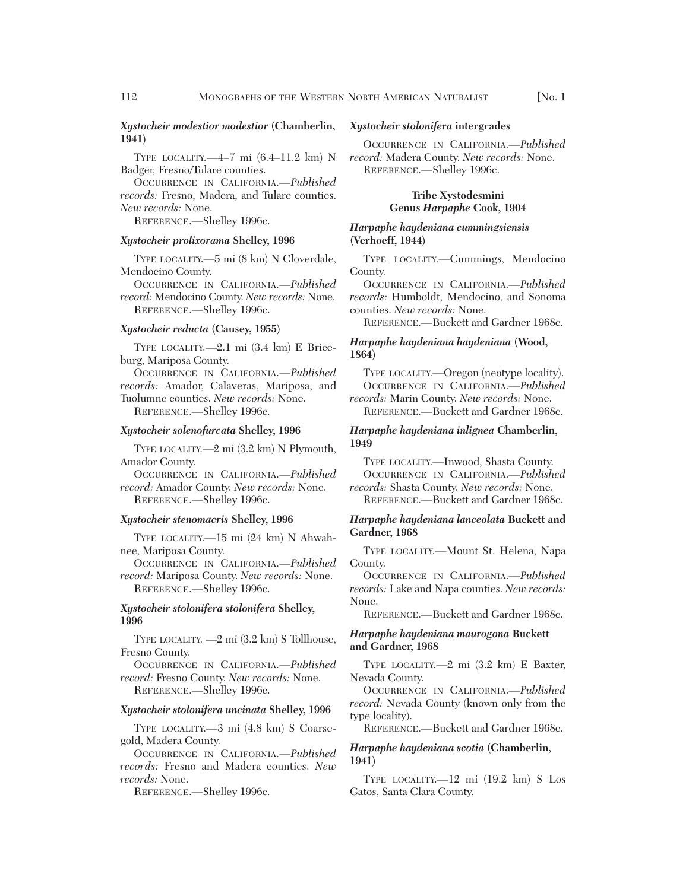*Xystocheir modestior modestior* **(Chamberlin, 1941)**

TYPE LOCALITY.—4-7 mi  $(6.4-11.2 \text{ km})$  N Badger, Fresno/Tulare counties.

OCCURRENCE IN CALIFORNIA.—*Published records:* Fresno, Madera, and Tulare counties. *New records:* None.

REFERENCE.—Shelley 1996c.

## *Xystocheir prolixorama* **Shelley, 1996**

TYPE LOCALITY.—5 mi (8 km) N Cloverdale, Mendocino County.

OCCURRENCE IN CALIFORNIA.—*Published record:* Mendocino County. *New records:* None. REFERENCE.—Shelley 1996c.

#### *Xystocheir reducta* **(Causey, 1955)**

TYPE LOCALITY.—2.1 mi (3.4 km) E Briceburg, Mariposa County.

OCCURRENCE IN CALIFORNIA.—*Published records:* Amador, Calaveras, Mariposa, and Tuolumne counties. *New records:* None.

REFERENCE.—Shelley 1996c.

## *Xystocheir solenofurcata* **Shelley, 1996**

TYPE LOCALITY.—2 mi (3.2 km) N Plymouth, Amador County.

OCCURRENCE IN CALIFORNIA.—*Published record:* Amador County. *New records:* None.

REFERENCE.—Shelley 1996c.

## *Xystocheir stenomacris* **Shelley, 1996**

TYPE LOCALITY.—15 mi (24 km) N Ahwahnee, Mariposa County.

OCCURRENCE IN CALIFORNIA.—*Published record:* Mariposa County. *New records:* None. REFERENCE.—Shelley 1996c.

## *Xystocheir stolonifera stolonifera* **Shelley, 1996**

TYPE LOCALITY. —2 mi (3.2 km) S Tollhouse, Fresno County.

OCCURRENCE IN CALIFORNIA.—*Published record:* Fresno County. *New records:* None. REFERENCE.—Shelley 1996c.

## *Xystocheir stolonifera uncinata* **Shelley, 1996**

TYPE LOCALITY.—3 mi (4.8 km) S Coarsegold, Madera County.

OCCURRENCE IN CALIFORNIA.—*Published records:* Fresno and Madera counties. *New records:* None.

REFERENCE.—Shelley 1996c.

## *Xystocheir stolonifera* **intergrades**

OCCURRENCE IN CALIFORNIA.—*Published record:* Madera County. *New records:* None. REFERENCE.—Shelley 1996c.

## **Tribe Xystodesmini Genus** *Harpaphe* **Cook, 1904**

## *Harpaphe haydeniana cummingsiensis* **(Verhoeff, 1944)**

TYPE LOCALITY.—Cummings, Mendocino County.

OCCURRENCE IN CALIFORNIA.—*Published records:* Humboldt, Mendocino, and Sonoma counties. *New records:* None.

REFERENCE.—Buckett and Gardner 1968c.

## *Harpaphe haydeniana haydeniana* **(Wood, 1864)**

TYPE LOCALITY.—Oregon (neotype locality). OCCURRENCE IN CALIFORNIA.—*Published records:* Marin County. *New records:* None.

REFERENCE.—Buckett and Gardner 1968c.

## *Harpaphe haydeniana inlignea* **Chamberlin, 1949**

TYPE LOCALITY.—Inwood, Shasta County. OCCURRENCE IN CALIFORNIA.—*Published*

*records:* Shasta County. *New records:* None. REFERENCE.—Buckett and Gardner 1968c.

## *Harpaphe haydeniana lanceolata* **Buckett and Gardner, 1968**

TYPE LOCALITY.—Mount St. Helena, Napa County.

OCCURRENCE IN CALIFORNIA.—*Published records:* Lake and Napa counties. *New records:* None.

REFERENCE.*—*Buckett and Gardner 1968c.

## *Harpaphe haydeniana maurogona* **Buckett and Gardner, 1968**

TYPE LOCALITY.—2 mi (3.2 km) E Baxter, Nevada County.

OCCURRENCE IN CALIFORNIA.—*Published record:* Nevada County (known only from the type locality).

REFERENCE.—Buckett and Gardner 1968c.

## *Harpaphe haydeniana scotia* **(Chamberlin, 1941)**

TYPE LOCALITY.—12 mi (19.2 km) S Los Gatos, Santa Clara County.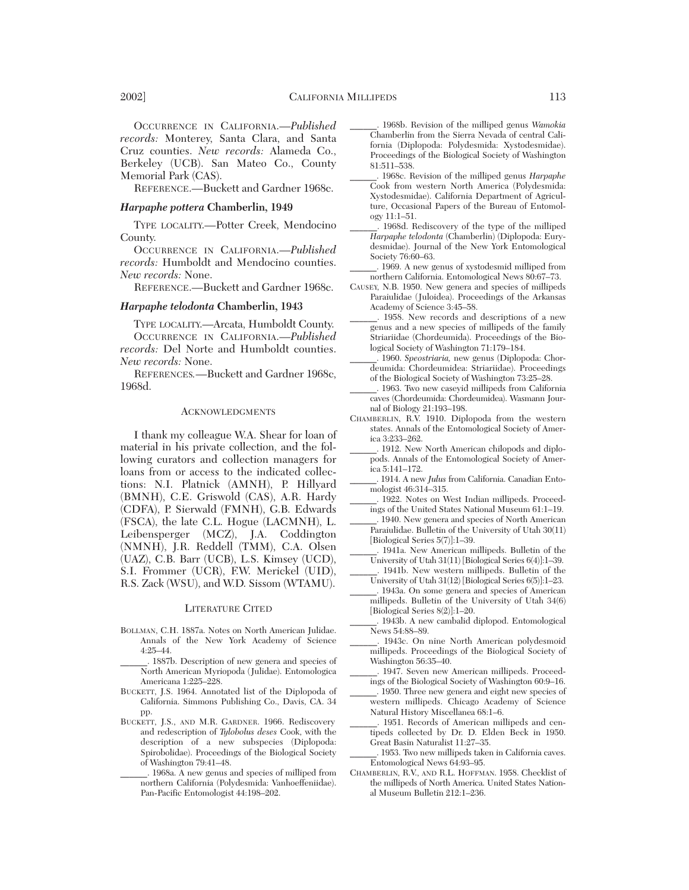OCCURRENCE IN CALIFORNIA.—*Published records:* Monterey, Santa Clara, and Santa Cruz counties. *New records:* Alameda Co., Berkeley (UCB). San Mateo Co., County Memorial Park (CAS).

REFERENCE.—Buckett and Gardner 1968c.

## *Harpaphe pottera* **Chamberlin, 1949**

TYPE LOCALITY.—Potter Creek, Mendocino County.

OCCURRENCE IN CALIFORNIA.—*Published records:* Humboldt and Mendocino counties. *New records:* None.

REFERENCE.—Buckett and Gardner 1968c.

#### *Harpaphe telodonta* **Chamberlin, 1943**

TYPE LOCALITY.—Arcata, Humboldt County.

OCCURRENCE IN CALIFORNIA.—*Published records:* Del Norte and Humboldt counties. *New records:* None.

REFERENCES*.*—Buckett and Gardner 1968c, 1968d.

#### ACKNOWLEDGMENTS

I thank my colleague W.A. Shear for loan of material in his private collection, and the following curators and collection managers for loans from or access to the indicated collections: N.I. Platnick (AMNH), P. Hillyard (BMNH), C.E. Griswold (CAS), A.R. Hardy (CDFA), P. Sierwald (FMNH), G.B. Edwards (FSCA), the late C.L. Hogue (LACMNH), L. Leibensperger (MCZ), J.A. Coddington (NMNH), J.R. Reddell (TMM), C.A. Olsen (UAZ), C.B. Barr (UCB), L.S. Kimsey (UCD), S.I. Frommer (UCR), F.W. Merickel (UID), R.S. Zack (WSU), and W.D. Sissom (WTAMU).

#### LITERATURE CITED

- BOLLMAN, C.H. 1887a. Notes on North American Julidae. Annals of the New York Academy of Science 4:25–44.
- 1887b. Description of new genera and species of North American Myriopoda (Julidae). Entomologica Americana 1:225–228.
- BUCKETT, J.S. 1964. Annotated list of the Diplopoda of California. Simmons Publishing Co., Davis, CA. 34 pp.
- BUCKETT, J.S., AND M.R. GARDNER. 1966. Rediscovery and redescription of *Tylobolus deses* Cook, with the description of a new subspecies (Diplopoda: Spirobolidae). Proceedings of the Biological Society of Washington 79:41–48.
	- \_\_\_\_\_\_. 1968a. A new genus and species of milliped from northern California (Polydesmida: Vanhoeffeniidae). Pan-Pacific Entomologist 44:198–202.
- \_\_\_\_\_\_. 1968b. Revision of the milliped genus *Wamokia* Chamberlin from the Sierra Nevada of central California (Diplopoda: Polydesmida: Xystodesmidae). Proceedings of the Biological Society of Washington 81:511–538.
- \_\_\_\_\_\_. 1968c. Revision of the milliped genus *Harpaphe* Cook from western North America (Polydesmida: Xystodesmidae). California Department of Agriculture, Occasional Papers of the Bureau of Entomology 11:1–51.
- \_\_\_\_\_\_. 1968d. Rediscovery of the type of the milliped *Harpaphe telodonta* (Chamberlin) (Diplopoda: Eurydesmidae). Journal of the New York Entomological Society 76:60–63.
- \_\_\_\_\_\_. 1969. A new genus of xystodesmid milliped from northern California. Entomological News 80:67–73.
- CAUSEY, N.B. 1950. New genera and species of millipeds Paraiulidae (Juloidea). Proceedings of the Arkansas Academy of Science 3:45–58.
- \_\_\_\_\_\_. 1958. New records and descriptions of a new genus and a new species of millipeds of the family Striariidae (Chordeumida). Proceedings of the Biological Society of Washington 71:179–184.
- \_\_\_\_\_\_. 1960. *Speostriaria,* new genus (Diplopoda: Chordeumida: Chordeumidea: Striariidae). Proceedings of the Biological Society of Washington 73:25–28.
- \_\_\_\_\_\_. 1963. Two new caseyid millipeds from California caves (Chordeumida: Chordeumidea). Wasmann Journal of Biology 21:193–198.
- CHAMBERLIN, R.V. 1910. Diplopoda from the western states. Annals of the Entomological Society of America 3:233–262.
- \_\_\_\_\_\_. 1912. New North American chilopods and diplopods. Annals of the Entomological Society of America 5:141–172.
- \_\_\_\_\_\_. 1914. A new *Julus* from California. Canadian Entomologist 46:314–315.
- \_\_\_\_\_\_. 1922. Notes on West Indian millipeds. Proceedings of the United States National Museum 61:1–19.
- \_\_\_\_\_\_. 1940. New genera and species of North American Paraiulidae. Bulletin of the University of Utah 30(11) [Biological Series 5(7)]:1–39.
- \_\_\_\_\_\_. 1941a. New American millipeds. Bulletin of the University of Utah 31(11) [Biological Series 6(4)]:1–39.
- \_\_\_\_\_\_. 1941b. New western millipeds. Bulletin of the University of Utah 31(12) [Biological Series 6(5)]:1–23.
- \_\_\_\_\_\_. 1943a. On some genera and species of American millipeds. Bulletin of the University of Utah 34(6) [Biological Series 8(2)]:1–20.
- \_\_\_\_\_\_. 1943b. A new cambalid diplopod. Entomological News 54:88–89.
- \_\_\_\_\_\_. 1943c. On nine North American polydesmoid millipeds. Proceedings of the Biological Society of Washington 56:35–40.
- \_\_\_\_\_\_. 1947. Seven new American millipeds. Proceedings of the Biological Society of Washington 60:9–16. \_\_\_\_\_\_. 1950. Three new genera and eight new species of
- western millipeds. Chicago Academy of Science Natural History Miscellanea 68:1–6.
- \_\_\_\_\_\_. 1951. Records of American millipeds and centipeds collected by Dr. D. Elden Beck in 1950. Great Basin Naturalist 11:27–35.
- \_\_\_\_\_\_. 1953. Two new millipeds taken in California caves. Entomological News 64:93–95.
- CHAMBERLIN, R.V., AND R.L. HOFFMAN. 1958. Checklist of the millipeds of North America. United States National Museum Bulletin 212:1–236.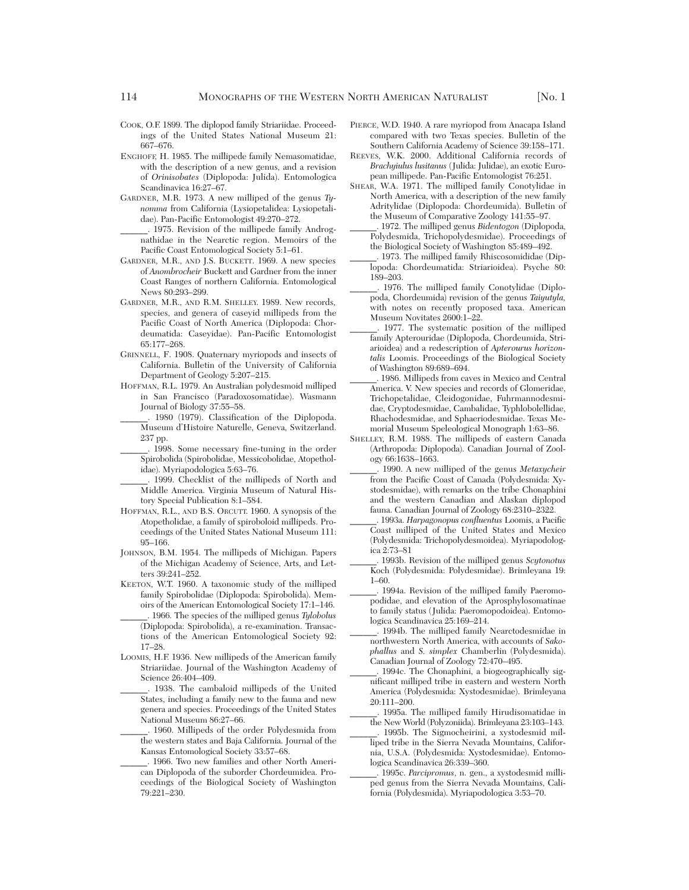- COOK, O.F. 1899. The diplopod family Striariidae. Proceedings of the United States National Museum 21: 667–676.
- ENGHOFF, H. 1985. The millipede family Nemasomatidae, with the description of a new genus, and a revision of *Orinisobates* (Diplopoda: Julida). Entomologica Scandinavica 16:27–67.
- GARDNER, M.R. 1973. A new milliped of the genus *Tynomma* from California (Lysiopetalidea: Lysiopetalidae). Pan-Pacific Entomologist 49:270–272.
- 1975. Revision of the millipede family Andrognathidae in the Nearctic region. Memoirs of the Pacific Coast Entomological Society 5:1–61.
- GARDNER, M.R., AND J.S. BUCKETT. 1969. A new species of *Anombrocheir* Buckett and Gardner from the inner Coast Ranges of northern California. Entomological News 80:293–299.
- GARDNER, M.R., AND R.M. SHELLEY. 1989. New records, species, and genera of caseyid millipeds from the Pacific Coast of North America (Diplopoda: Chordeumatida: Caseyidae). Pan-Pacific Entomologist 65:177–268.
- GRINNELL, F. 1908. Quaternary myriopods and insects of California. Bulletin of the University of California Department of Geology 5:207–215.
- HOFFMAN, R.L. 1979. An Australian polydesmoid milliped in San Francisco (Paradoxosomatidae). Wasmann Journal of Biology 37:55–58.
	- 1980 (1979). Classification of the Diplopoda. Museum d'Histoire Naturelle, Geneva, Switzerland. 237 pp.
	- \_\_\_\_\_\_. 1998. Some necessary fine-tuning in the order Spirobolida (Spirobolidae, Messicobolidae, Atopetholidae). Myriapodologica 5:63–76.
- 1999. Checklist of the millipeds of North and Middle America. Virginia Museum of Natural History Special Publication 8:1–584.
- HOFFMAN, R.L., AND B.S. ORCUTT. 1960. A synopsis of the Atopetholidae, a family of spiroboloid millipeds. Proceedings of the United States National Museum 111: 95–166.
- JOHNSON, B.M. 1954. The millipeds of Michigan. Papers of the Michigan Academy of Science, Arts, and Letters 39:241–252.
- KEETON, W.T. 1960. A taxonomic study of the milliped family Spirobolidae (Diplopoda: Spirobolida). Memoirs of the American Entomological Society 17:1–146.
- \_\_\_\_\_\_. 1966. The species of the milliped genus *Tylobolus* (Diplopoda: Spirobolida), a re-examination. Transactions of the American Entomological Society 92: 17–28.
- LOOMIS, H.F. 1936. New millipeds of the American family Striariidae. Journal of the Washington Academy of Science 26:404–409.
	- \_\_\_\_\_\_. 1938. The cambaloid millipeds of the United States, including a family new to the fauna and new genera and species. Proceedings of the United States National Museum 86:27–66.
	- \_\_\_\_\_\_. 1960. Millipeds of the order Polydesmida from the western states and Baja California. Journal of the Kansas Entomological Society 33:57–68.
- \_\_\_\_\_\_. 1966. Two new families and other North American Diplopoda of the suborder Chordeumidea. Proceedings of the Biological Society of Washington 79:221–230.
- PIERCE, W.D. 1940. A rare myriopod from Anacapa Island compared with two Texas species. Bulletin of the Southern California Academy of Science 39:158–171.
- REEVES, W.K. 2000. Additional California records of *Brachyiulus lusitanus* (Julida: Julidae), an exotic European millipede. Pan-Pacific Entomologist 76:251.
- SHEAR, W.A. 1971. The milliped family Conotylidae in North America, with a description of the new family Adritylidae (Diplopoda: Chordeumida). Bulletin of the Museum of Comparative Zoology 141:55–97.
- \_\_\_\_\_\_. 1972. The milliped genus *Bidentogon* (Diplopoda, Polydesmida, Trichopolydesmidae). Proceedings of the Biological Society of Washington 85:489–492.
- \_\_\_\_\_\_. 1973. The milliped family Rhiscosomididae (Diplopoda: Chordeumatida: Striarioidea). Psyche 80: 189–203.
- \_\_\_\_\_\_. 1976. The milliped family Conotylidae (Diplopoda, Chordeumida) revision of the genus *Taiyutyla,* with notes on recently proposed taxa. American Museum Novitates 2600:1–22.
- 1977. The systematic position of the milliped family Apterouridae (Diplopoda, Chordeumida, Striarioidea) and a redescription of *Apterourus horizontalis* Loomis. Proceedings of the Biological Society of Washington 89:689–694.
- \_\_\_\_\_\_. 1986. Millipeds from caves in Mexico and Central America. V. New species and records of Glomeridae, Trichopetalidae, Cleidogonidae, Fuhrmannodesmidae, Cryptodesmidae, Cambalidae, Typhlobolellidae, Rhachodesmidae, and Sphaeriodesmidae. Texas Memorial Museum Speleological Monograph 1:63–86.
- SHELLEY, R.M. 1988. The millipeds of eastern Canada (Arthropoda: Diplopoda). Canadian Journal of Zoology 66:1638–1663.
- \_\_\_\_\_\_. 1990. A new milliped of the genus *Metaxycheir* from the Pacific Coast of Canada (Polydesmida: Xystodesmidae), with remarks on the tribe Chonaphini and the western Canadian and Alaskan diplopod fauna. Canadian Journal of Zoology 68:2310–2322.
- \_\_\_\_\_\_. 1993a. *Harpagonopus confluentus* Loomis, a Pacific Coast milliped of the United States and Mexico (Polydesmida: Trichopolydesmoidea). Myriapodologica 2:73–81
- \_\_\_\_\_\_. 1993b. Revision of the milliped genus *Scytonotus* Koch (Polydesmida: Polydesmidae). Brimleyana 19: 1–60.
- \_\_\_\_\_\_. 1994a. Revision of the milliped family Paeromopodidae, and elevation of the Aprosphylosomatinae to family status (Julida: Paeromopodoidea). Entomologica Scandinavica 25:169–214.
- \_\_\_\_\_\_. 1994b. The milliped family Nearctodesmidae in northwestern North America, with accounts of *Sakophallus* and *S. simplex* Chamberlin (Polydesmida). Canadian Journal of Zoology 72:470–495.
- \_\_\_\_\_\_. 1994c. The Chonaphini, a biogeographically significant milliped tribe in eastern and western North America (Polydesmida: Xystodesmidae). Brimleyana 20:111–200.
- \_\_\_\_\_\_. 1995a. The milliped family Hirudisomatidae in the New World (Polyzoniida). Brimleyana 23:103–143.
- \_\_\_\_\_\_. 1995b. The Sigmocheirini, a xystodesmid milliped tribe in the Sierra Nevada Mountains, California, U.S.A. (Polydesmida: Xystodesmidae). Entomologica Scandinavica 26:339–360.
- \_\_\_\_\_\_. 1995c. *Parcipromus*, n. gen., a xystodesmid milliped genus from the Sierra Nevada Mountains, California (Polydesmida). Myriapodologica 3:53–70.